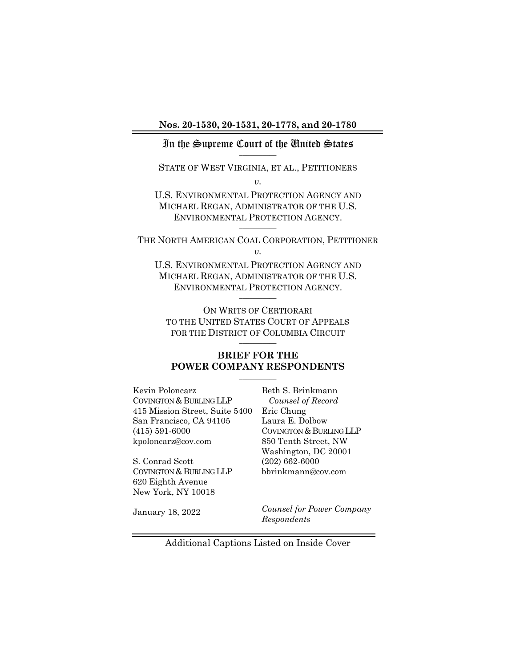#### <span id="page-0-0"></span>In the Supreme Court of the United States  $\overline{\phantom{a}}$

STATE OF WEST VIRGINIA, ET AL., PETITIONERS

*v.* 

U.S. ENVIRONMENTAL PROTECTION AGENCY AND MICHAEL REGAN, ADMINISTRATOR OF THE U.S. ENVIRONMENTAL PROTECTION AGENCY.  $\frac{1}{2}$ 

THE NORTH AMERICAN COAL CORPORATION, PETITIONER *v.* 

U.S. ENVIRONMENTAL PROTECTION AGENCY AND MICHAEL REGAN, ADMINISTRATOR OF THE U.S. ENVIRONMENTAL PROTECTION AGENCY.  $\overline{\phantom{a}}$ 

ON WRITS OF CERTIORARI TO THE UNITED STATES COURT OF APPEALS FOR THE DISTRICT OF COLUMBIA CIRCUIT  $\overline{\phantom{a}}$ 

### **BRIEF FOR THE POWER COMPANY RESPONDENTS**

Kevin Poloncarz COVINGTON & BURLING LLP 415 Mission Street, Suite 5400 San Francisco, CA 94105 (415) 591-6000 kpoloncarz@cov.com

S. Conrad Scott COVINGTON & BURLING LLP 620 Eighth Avenue New York, NY 10018

Beth S. Brinkmann  *Counsel of Record* Eric Chung Laura E. Dolbow COVINGTON & BURLING LLP 850 Tenth Street, NW Washington, DC 20001 (202) 662-6000 bbrinkmann@cov.com

January 18, 2022

*Counsel for Power Company Respondents* 

Additional Captions Listed on Inside Cover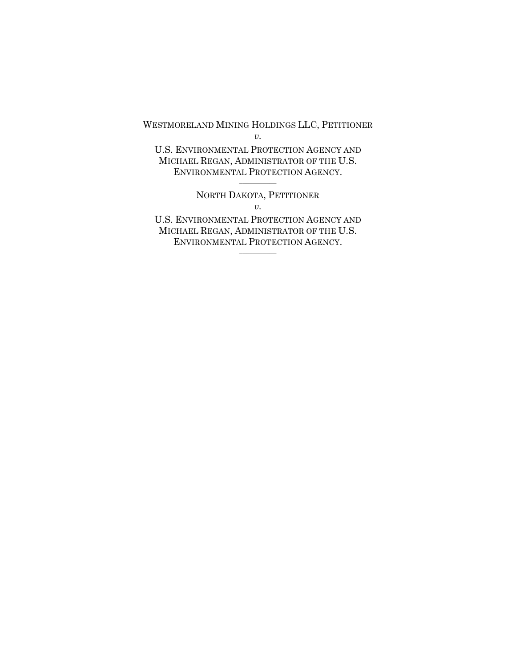WESTMORELAND MINING HOLDINGS LLC, PETITIONER

*v.*

U.S. ENVIRONMENTAL PROTECTION AGENCY AND MICHAEL REGAN, ADMINISTRATOR OF THE U.S. ENVIRONMENTAL PROTECTION AGENCY.  $\frac{1}{2}$ 

> NORTH DAKOTA, PETITIONER *v.*

U.S. ENVIRONMENTAL PROTECTION AGENCY AND MICHAEL REGAN, ADMINISTRATOR OF THE U.S. ENVIRONMENTAL PROTECTION AGENCY.  $\overline{\phantom{a}}$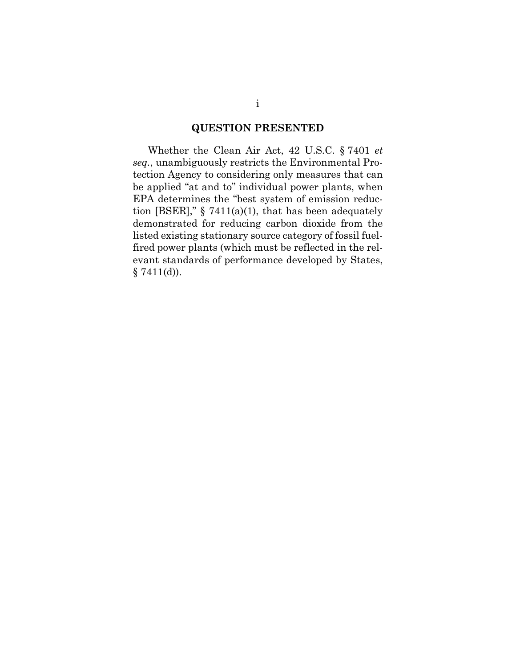## <span id="page-2-1"></span>**QUESTION PRESENTED**

<span id="page-2-0"></span>Whether the Clean Air Act, 42 U.S.C. § 7401 *et seq.*, unambiguously restricts the Environmental Protection Agency to considering only measures that can be applied "at and to" individual power plants, when EPA determines the "best system of emission reduction [BSER]," § 7411(a)(1), that has been adequately demonstrated for reducing carbon dioxide from the listed existing stationary source category of fossil fuelfired power plants (which must be reflected in the relevant standards of performance developed by States,  $§ 7411(d)$ .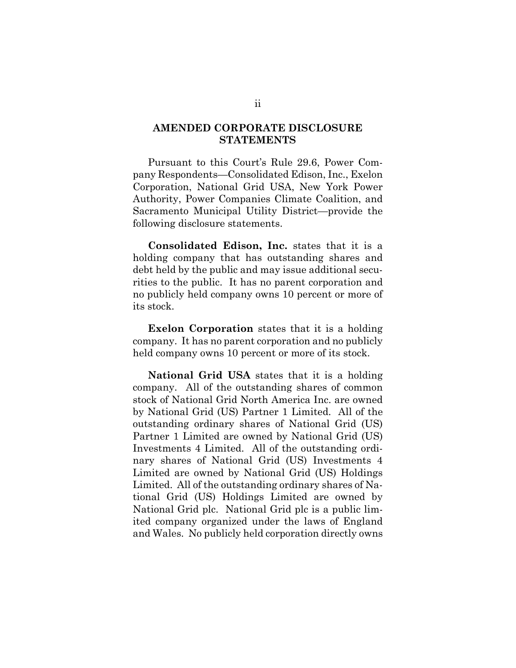### <span id="page-3-0"></span>**AMENDED CORPORATE DISCLOSURE STATEMENTS**

Pursuant to this Court's Rule 29.6, Power Company Respondents—Consolidated Edison, Inc., Exelon Corporation, National Grid USA, New York Power Authority, Power Companies Climate Coalition, and Sacramento Municipal Utility District—provide the following disclosure statements.

**Consolidated Edison, Inc.** states that it is a holding company that has outstanding shares and debt held by the public and may issue additional securities to the public. It has no parent corporation and no publicly held company owns 10 percent or more of its stock.

**Exelon Corporation** states that it is a holding company. It has no parent corporation and no publicly held company owns 10 percent or more of its stock.

**National Grid USA** states that it is a holding company. All of the outstanding shares of common stock of National Grid North America Inc. are owned by National Grid (US) Partner 1 Limited. All of the outstanding ordinary shares of National Grid (US) Partner 1 Limited are owned by National Grid (US) Investments 4 Limited. All of the outstanding ordinary shares of National Grid (US) Investments 4 Limited are owned by National Grid (US) Holdings Limited. All of the outstanding ordinary shares of National Grid (US) Holdings Limited are owned by National Grid plc. National Grid plc is a public limited company organized under the laws of England and Wales. No publicly held corporation directly owns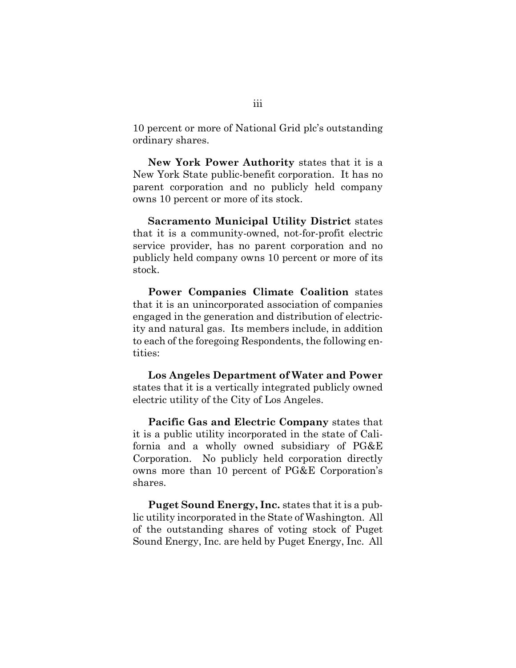10 percent or more of National Grid plc's outstanding ordinary shares.

**New York Power Authority** states that it is a New York State public-benefit corporation. It has no parent corporation and no publicly held company owns 10 percent or more of its stock.

**Sacramento Municipal Utility District** states that it is a community-owned, not-for-profit electric service provider, has no parent corporation and no publicly held company owns 10 percent or more of its stock.

**Power Companies Climate Coalition** states that it is an unincorporated association of companies engaged in the generation and distribution of electricity and natural gas. Its members include, in addition to each of the foregoing Respondents, the following entities:

**Los Angeles Department of Water and Power** states that it is a vertically integrated publicly owned electric utility of the City of Los Angeles.

**Pacific Gas and Electric Company** states that it is a public utility incorporated in the state of California and a wholly owned subsidiary of PG&E Corporation. No publicly held corporation directly owns more than 10 percent of PG&E Corporation's shares.

**Puget Sound Energy, Inc.** states that it is a public utility incorporated in the State of Washington. All of the outstanding shares of voting stock of Puget Sound Energy, Inc. are held by Puget Energy, Inc. All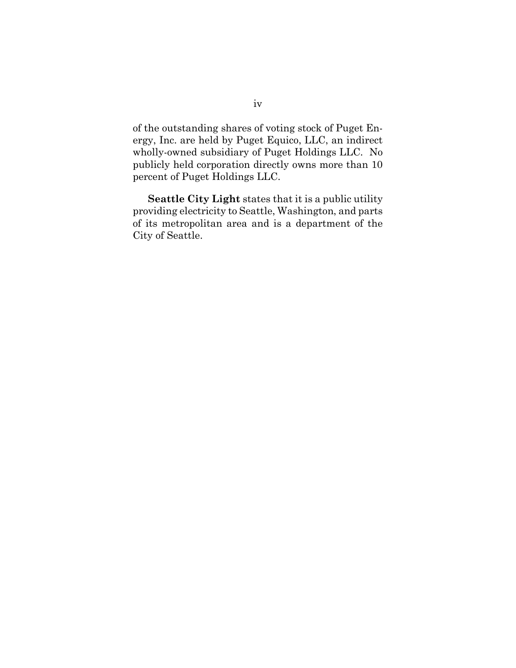of the outstanding shares of voting stock of Puget Energy, Inc. are held by Puget Equico, LLC, an indirect wholly-owned subsidiary of Puget Holdings LLC. No publicly held corporation directly owns more than 10 percent of Puget Holdings LLC.

**Seattle City Light** states that it is a public utility providing electricity to Seattle, Washington, and parts of its metropolitan area and is a department of the City of Seattle.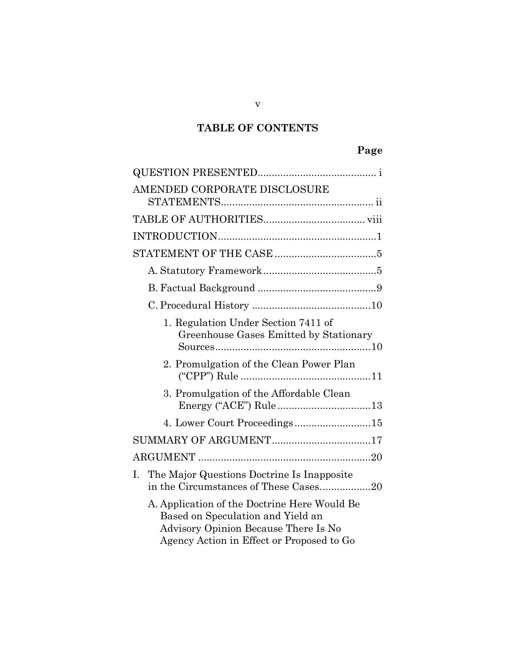# **TABLE OF CONTENTS**

| AMENDED CORPORATE DISCLOSURE                                                                                                                                           |
|------------------------------------------------------------------------------------------------------------------------------------------------------------------------|
|                                                                                                                                                                        |
|                                                                                                                                                                        |
|                                                                                                                                                                        |
|                                                                                                                                                                        |
|                                                                                                                                                                        |
|                                                                                                                                                                        |
| 1. Regulation Under Section 7411 of<br>Greenhouse Gases Emitted by Stationary                                                                                          |
| 2. Promulgation of the Clean Power Plan                                                                                                                                |
| 3. Promulgation of the Affordable Clean<br>Energy ("ACE") Rule13                                                                                                       |
| 4. Lower Court Proceedings15                                                                                                                                           |
| SUMMARY OF ARGUMENT17                                                                                                                                                  |
|                                                                                                                                                                        |
| The Major Questions Doctrine Is Inapposite<br>I.<br>in the Circumstances of These Cases20                                                                              |
| A. Application of the Doctrine Here Would Be<br>Based on Speculation and Yield an<br>Advisory Opinion Because There Is No<br>Agency Action in Effect or Proposed to Go |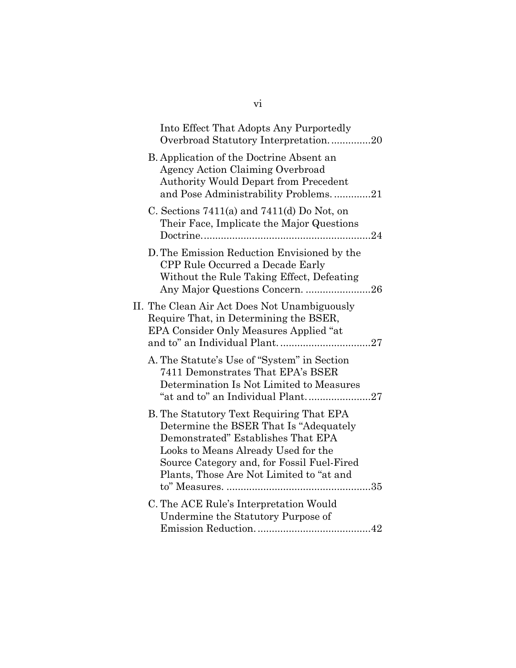| Into Effect That Adopts Any Purportedly<br>Overbroad Statutory Interpretation20                                                                                                                                                                           |
|-----------------------------------------------------------------------------------------------------------------------------------------------------------------------------------------------------------------------------------------------------------|
| B. Application of the Doctrine Absent an<br>Agency Action Claiming Overbroad<br><b>Authority Would Depart from Precedent</b><br>and Pose Administrability Problems21                                                                                      |
| C. Sections $7411(a)$ and $7411(d)$ Do Not, on<br>Their Face, Implicate the Major Questions                                                                                                                                                               |
| D. The Emission Reduction Envisioned by the<br>CPP Rule Occurred a Decade Early<br>Without the Rule Taking Effect, Defeating<br>Any Major Questions Concern. 26                                                                                           |
| II. The Clean Air Act Does Not Unambiguously<br>Require That, in Determining the BSER,<br>EPA Consider Only Measures Applied "at                                                                                                                          |
| A. The Statute's Use of "System" in Section<br>7411 Demonstrates That EPA's BSER<br>Determination Is Not Limited to Measures<br>"at and to" an Individual Plant27                                                                                         |
| B. The Statutory Text Requiring That EPA<br>Determine the BSER That Is "Adequately<br>Demonstrated" Establishes That EPA<br>Looks to Means Already Used for the<br>Source Category and, for Fossil Fuel-Fired<br>Plants, Those Are Not Limited to "at and |
| C. The ACE Rule's Interpretation Would<br>Undermine the Statutory Purpose of                                                                                                                                                                              |

vi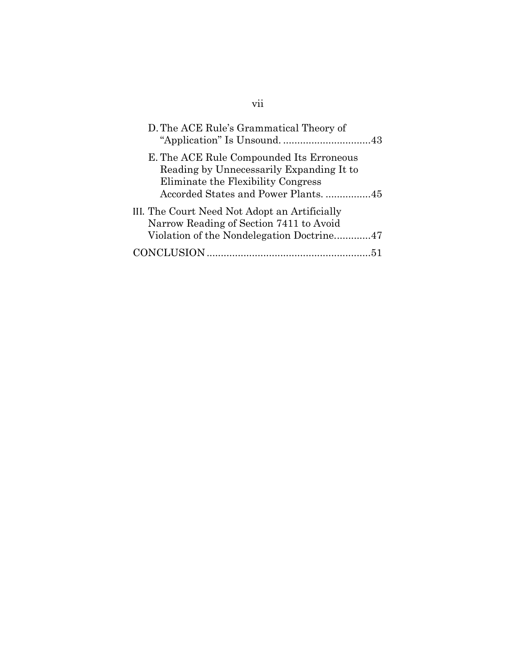| D. The ACE Rule's Grammatical Theory of                                                                                                                            |  |
|--------------------------------------------------------------------------------------------------------------------------------------------------------------------|--|
| E. The ACE Rule Compounded Its Erroneous<br>Reading by Unnecessarily Expanding It to<br>Eliminate the Flexibility Congress<br>Accorded States and Power Plants. 45 |  |
| III. The Court Need Not Adopt an Artificially<br>Narrow Reading of Section 7411 to Avoid                                                                           |  |
| Violation of the Nondelegation Doctrine47                                                                                                                          |  |
|                                                                                                                                                                    |  |

# vii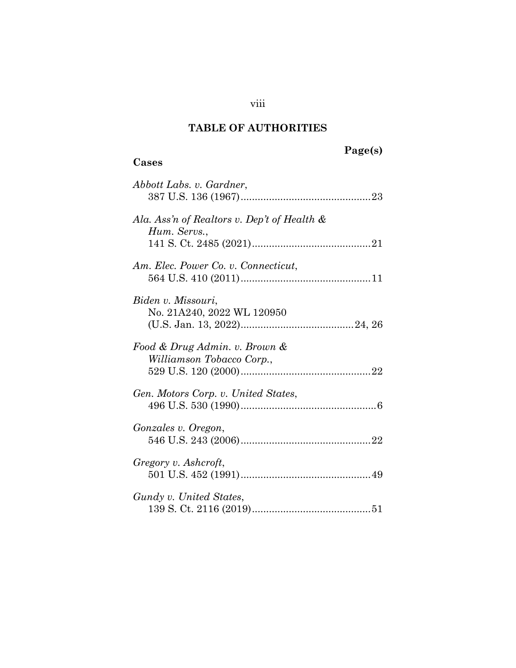# <span id="page-9-1"></span>**TABLE OF AUTHORITIES**

<span id="page-9-0"></span>**Cases** 

# **Page(s)**

| Abbott Labs. v. Gardner,                                       |
|----------------------------------------------------------------|
| Ala. Ass'n of Realtors v. Dep't of Health $\&$<br>Hum. Servs., |
| Am. Elec. Power Co. v. Connecticut,                            |
| Biden v. Missouri,<br>No. 21A240, 2022 WL 120950               |
| Food & Drug Admin. v. Brown &<br>Williamson Tobacco Corp.,     |
| Gen. Motors Corp. v. United States,                            |
| Gonzales v. Oregon,                                            |
| Gregory v. Ashcroft,                                           |
| Gundy v. United States,                                        |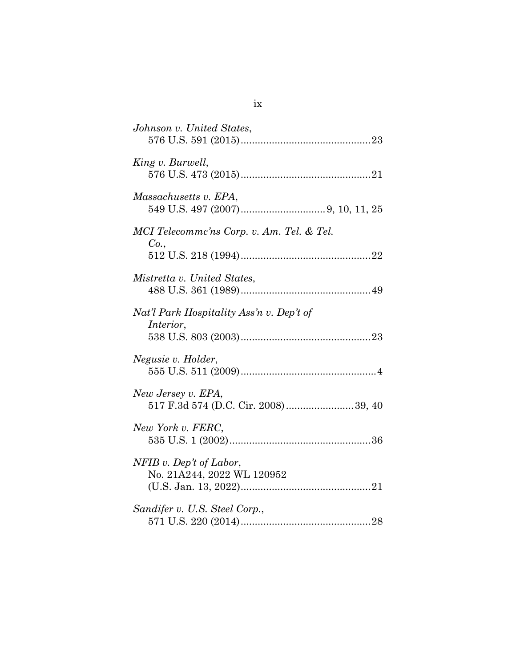| Johnson v. United States,                                    |
|--------------------------------------------------------------|
| King v. Burwell,                                             |
| Massachusetts v. EPA,                                        |
| MCI Telecommc'ns Corp. v. Am. Tel. & Tel.<br>Co.,            |
| Mistretta v. United States,                                  |
| Nat'l Park Hospitality Ass'n v. Dep't of<br><i>Interior,</i> |
| Negusie v. Holder,                                           |
| New Jersey v. EPA,<br>517 F.3d 574 (D.C. Cir. 2008) 39, 40   |
| New York v. FERC,                                            |
| $NFIB$ v. Dep't of Labor,<br>No. 21A244, 2022 WL 120952      |
| Sandifer v. U.S. Steel Corp.,                                |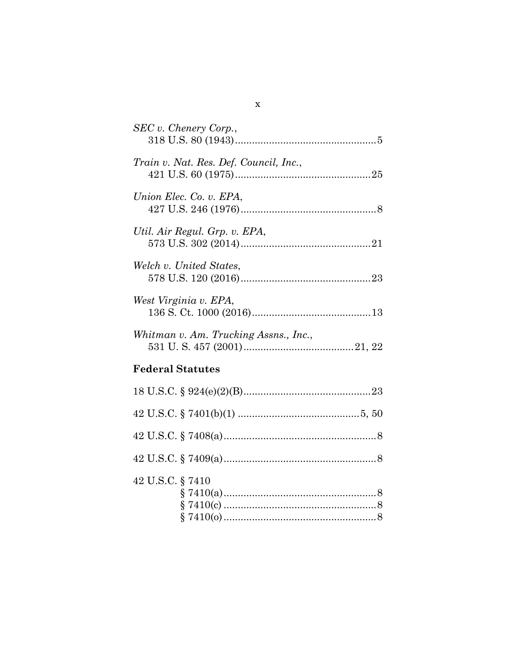| SEC v. Chenery Corp.,                  |
|----------------------------------------|
| Train v. Nat. Res. Def. Council, Inc., |
| Union Elec. Co. v. EPA,                |
| Util. Air Regul. Grp. v. EPA,          |
| Welch v. United States,                |
| West Virginia v. EPA,                  |
| Whitman v. Am. Trucking Assns., Inc.,  |
| <b>Federal Statutes</b>                |
|                                        |
|                                        |
|                                        |
|                                        |
| 42 U.S.C. § 7410                       |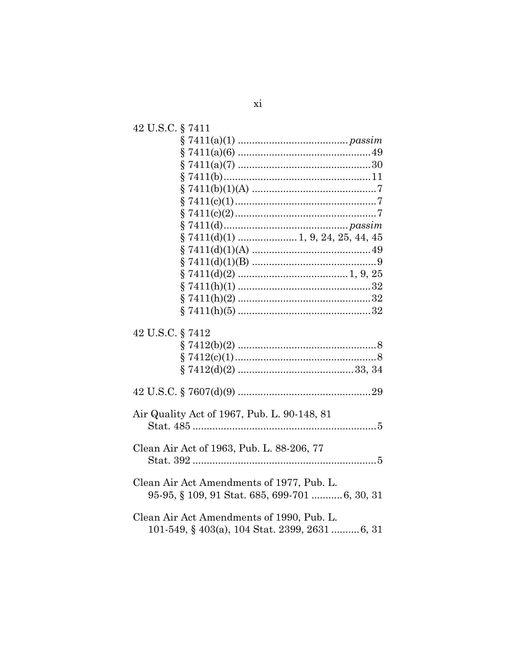| 42 U.S.C. § 7411 |                                                |
|------------------|------------------------------------------------|
|                  |                                                |
|                  |                                                |
|                  |                                                |
|                  |                                                |
|                  |                                                |
|                  |                                                |
|                  |                                                |
|                  |                                                |
|                  |                                                |
|                  |                                                |
|                  |                                                |
|                  |                                                |
|                  |                                                |
|                  |                                                |
|                  |                                                |
|                  |                                                |
| 42 U.S.C. § 7412 |                                                |
|                  |                                                |
|                  |                                                |
|                  |                                                |
|                  |                                                |
|                  | Air Quality Act of 1967, Pub. L. 90-148, 81    |
|                  |                                                |
|                  |                                                |
|                  | Clean Air Act of 1963, Pub. L. 88-206, 77      |
|                  |                                                |
|                  | Clean Air Act Amendments of 1977, Pub. L.      |
|                  | 95-95, § 109, 91 Stat. 685, 699-701  6, 30, 31 |
|                  |                                                |
|                  | Clean Air Act Amendments of 1990, Pub. L.      |
|                  | 101-549, § 403(a), 104 Stat. 2399, 2631 6, 31  |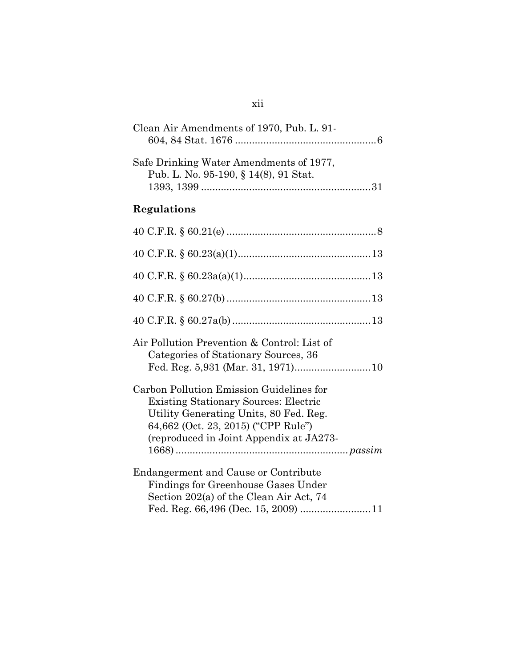| Clean Air Amendments of 1970, Pub. L. 91- |  |
|-------------------------------------------|--|
| Safe Drinking Water Amendments of 1977,   |  |
| Pub. L. No. 95-190, § 14(8), 91 Stat.     |  |

# **Regulations**

| Air Pollution Prevention & Control: List of<br>Categories of Stationary Sources, 36                                                                                                                                  |
|----------------------------------------------------------------------------------------------------------------------------------------------------------------------------------------------------------------------|
| Carbon Pollution Emission Guidelines for<br><b>Existing Stationary Sources: Electric</b><br>Utility Generating Units, 80 Fed. Reg.<br>64,662 (Oct. 23, 2015) ("CPP Rule")<br>(reproduced in Joint Appendix at JA273- |
| Endangerment and Cause or Contribute<br>Findings for Greenhouse Gases Under<br>Section 202(a) of the Clean Air Act, 74                                                                                               |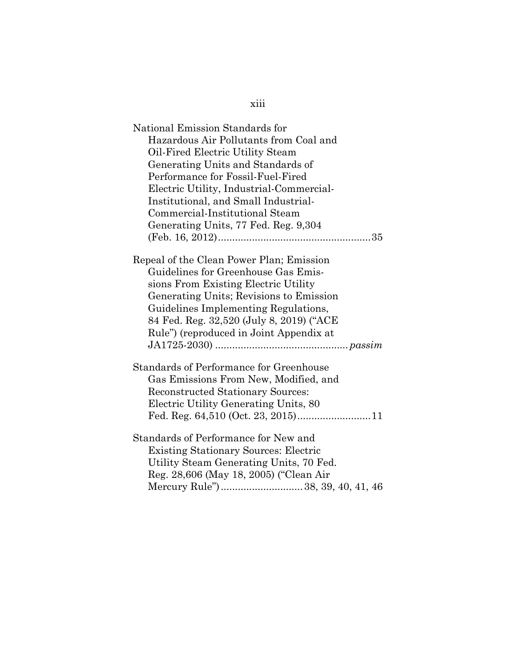| National Emission Standards for<br>Hazardous Air Pollutants from Coal and<br>Oil-Fired Electric Utility Steam<br>Generating Units and Standards of<br>Performance for Fossil-Fuel-Fired<br>Electric Utility, Industrial-Commercial-<br>Institutional, and Small Industrial-                       |
|---------------------------------------------------------------------------------------------------------------------------------------------------------------------------------------------------------------------------------------------------------------------------------------------------|
| Commercial-Institutional Steam                                                                                                                                                                                                                                                                    |
| Generating Units, 77 Fed. Reg. 9,304                                                                                                                                                                                                                                                              |
|                                                                                                                                                                                                                                                                                                   |
| Repeal of the Clean Power Plan; Emission<br>Guidelines for Greenhouse Gas Emis-<br>sions From Existing Electric Utility<br>Generating Units; Revisions to Emission<br>Guidelines Implementing Regulations,<br>84 Fed. Reg. 32,520 (July 8, 2019) ("ACE<br>Rule") (reproduced in Joint Appendix at |
| <b>Standards of Performance for Greenhouse</b><br>Gas Emissions From New, Modified, and<br><b>Reconstructed Stationary Sources:</b><br>Electric Utility Generating Units, 80                                                                                                                      |
| Standards of Performance for New and<br><b>Existing Stationary Sources: Electric</b><br>Utility Steam Generating Units, 70 Fed.<br>Reg. 28,606 (May 18, 2005) ("Clean Air                                                                                                                         |

xiii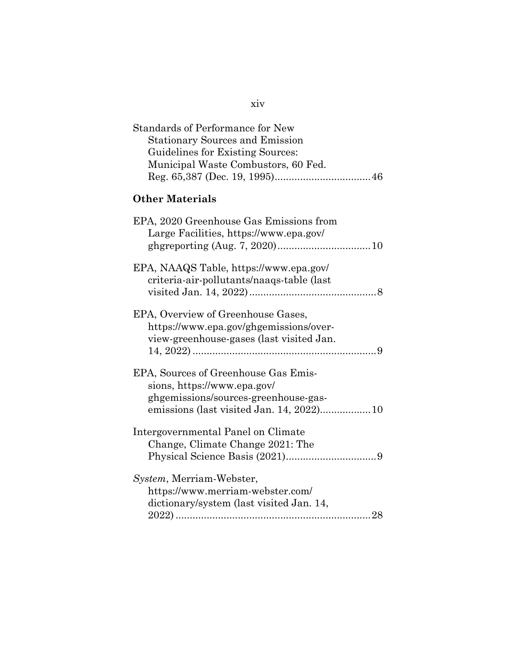| Standards of Performance for New<br><b>Stationary Sources and Emission</b><br>Guidelines for Existing Sources:<br>Municipal Waste Combustors, 60 Fed.   |
|---------------------------------------------------------------------------------------------------------------------------------------------------------|
| <b>Other Materials</b>                                                                                                                                  |
| EPA, 2020 Greenhouse Gas Emissions from<br>Large Facilities, https://www.epa.gov/                                                                       |
| EPA, NAAQS Table, https://www.epa.gov/<br>criteria-air-pollutants/naaqs-table (last                                                                     |
| EPA, Overview of Greenhouse Gases,<br>https://www.epa.gov/ghgemissions/over-<br>view-greenhouse-gases (last visited Jan.                                |
| EPA, Sources of Greenhouse Gas Emis-<br>sions, https://www.epa.gov/<br>ghgemissions/sources-greenhouse-gas-<br>emissions (last visited Jan. 14, 2022)10 |
| Intergovernmental Panel on Climate<br>Change, Climate Change 2021: The                                                                                  |
| System, Merriam-Webster,<br>https://www.merriam-webster.com/<br>dictionary/system (last visited Jan. 14,                                                |

xiv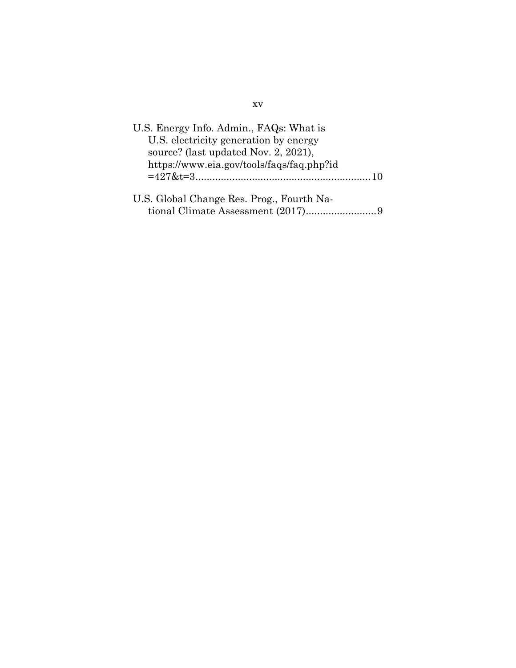| U.S. Energy Info. Admin., FAQs: What is   |  |
|-------------------------------------------|--|
| U.S. electricity generation by energy     |  |
| source? (last updated Nov. 2, 2021),      |  |
| https://www.eia.gov/tools/faqs/faq.php?id |  |
|                                           |  |
|                                           |  |
| U.S. Global Change Res. Prog., Fourth Na- |  |
|                                           |  |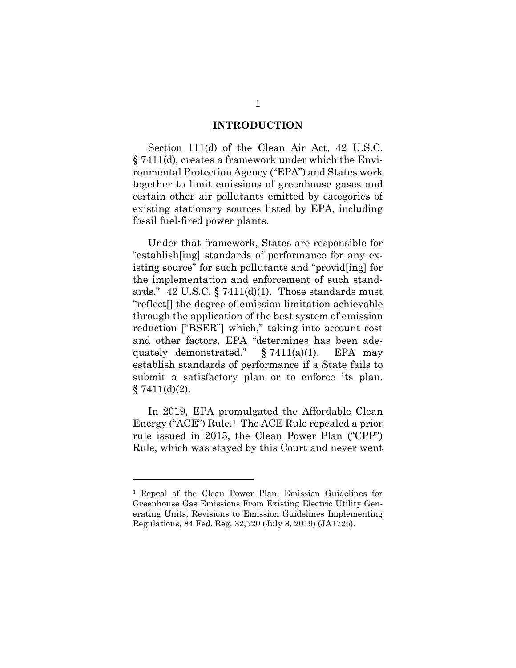#### **INTRODUCTION**

<span id="page-17-0"></span>Section 111(d) of the Clean Air Act, 42 U.S.C. § 7411(d), creates a framework under which the Environmental Protection Agency ("EPA") and States work together to limit emissions of greenhouse gases and certain other air pollutants emitted by categories of existing stationary sources listed by EPA, including fossil fuel-fired power plants.

<span id="page-17-1"></span>Under that framework, States are responsible for "establish[ing] standards of performance for any existing source" for such pollutants and "provid[ing] for the implementation and enforcement of such standards."  $42 \text{ U.S.C.}$  §  $7411(d)(1)$ . Those standards must "reflect[] the degree of emission limitation achievable through the application of the best system of emission reduction ["BSER"] which," taking into account cost and other factors, EPA "determines has been adequately demonstrated."  $§ 7411(a)(1)$ . EPA may establish standards of performance if a State fails to submit a satisfactory plan or to enforce its plan.  $§ 7411(d)(2).$ 

<span id="page-17-2"></span>In 2019, EPA promulgated the Affordable Clean Energy ("ACE") Rule.<sup>[1](#page-17-3)</sup> The ACE Rule repealed a prior rule issued in 2015, the Clean Power Plan ("CPP") Rule, which was stayed by this Court and never went

<span id="page-17-3"></span><sup>1</sup> Repeal of the Clean Power Plan; Emission Guidelines for Greenhouse Gas Emissions From Existing Electric Utility Generating Units; Revisions to Emission Guidelines Implementing Regulations, 84 Fed. Reg. 32,520 (July 8, 2019) (JA1725).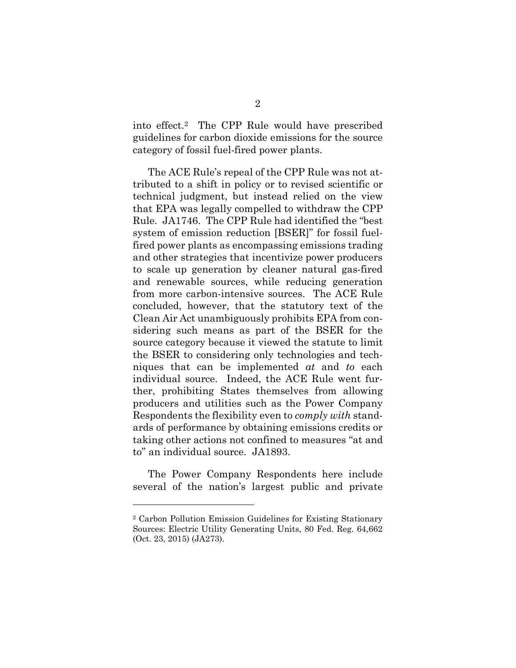into effect.[2](#page-18-0) The CPP Rule would have prescribed guidelines for carbon dioxide emissions for the source category of fossil fuel-fired power plants.

The ACE Rule's repeal of the CPP Rule was not attributed to a shift in policy or to revised scientific or technical judgment, but instead relied on the view that EPA was legally compelled to withdraw the CPP Rule. JA1746. The CPP Rule had identified the "best system of emission reduction [BSER]" for fossil fuelfired power plants as encompassing emissions trading and other strategies that incentivize power producers to scale up generation by cleaner natural gas-fired and renewable sources, while reducing generation from more carbon-intensive sources. The ACE Rule concluded, however, that the statutory text of the Clean Air Act unambiguously prohibits EPA from considering such means as part of the BSER for the source category because it viewed the statute to limit the BSER to considering only technologies and techniques that can be implemented *at* and *to* each individual source. Indeed, the ACE Rule went further, prohibiting States themselves from allowing producers and utilities such as the Power Company Respondents the flexibility even to *comply with* standards of performance by obtaining emissions credits or taking other actions not confined to measures "at and to" an individual source. JA1893.

The Power Company Respondents here include several of the nation's largest public and private

<span id="page-18-0"></span><sup>2</sup> Carbon Pollution Emission Guidelines for Existing Stationary Sources: Electric Utility Generating Units, 80 Fed. Reg. 64,662 (Oct. 23, 2015) (JA273).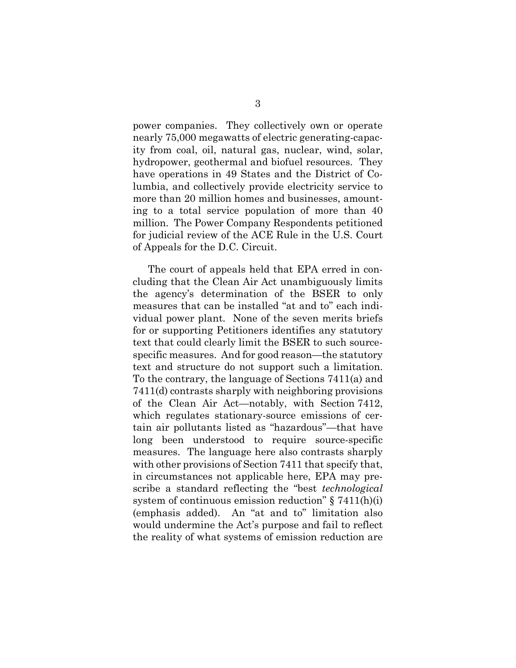power companies. They collectively own or operate nearly 75,000 megawatts of electric generating-capacity from coal, oil, natural gas, nuclear, wind, solar, hydropower, geothermal and biofuel resources. They have operations in 49 States and the District of Columbia, and collectively provide electricity service to more than 20 million homes and businesses, amounting to a total service population of more than 40 million. The Power Company Respondents petitioned for judicial review of the ACE Rule in the U.S. Court of Appeals for the D.C. Circuit.

The court of appeals held that EPA erred in concluding that the Clean Air Act unambiguously limits the agency's determination of the BSER to only measures that can be installed "at and to" each individual power plant. None of the seven merits briefs for or supporting Petitioners identifies any statutory text that could clearly limit the BSER to such sourcespecific measures. And for good reason—the statutory text and structure do not support such a limitation. To the contrary, the language of Sections 7411(a) and 7411(d) contrasts sharply with neighboring provisions of the Clean Air Act—notably, with Section 7412, which regulates stationary-source emissions of certain air pollutants listed as "hazardous"—that have long been understood to require source-specific measures. The language here also contrasts sharply with other provisions of Section 7411 that specify that, in circumstances not applicable here, EPA may prescribe a standard reflecting the "best *technological*  system of continuous emission reduction" § 7411(h)(i) (emphasis added). An "at and to" limitation also would undermine the Act's purpose and fail to reflect the reality of what systems of emission reduction are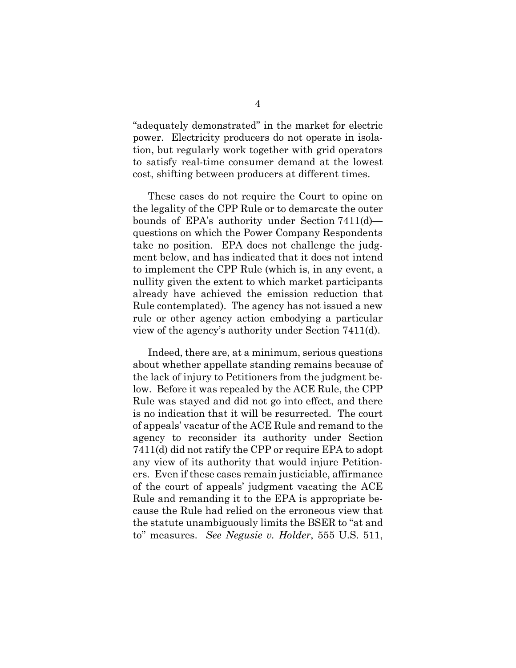"adequately demonstrated" in the market for electric power. Electricity producers do not operate in isolation, but regularly work together with grid operators to satisfy real-time consumer demand at the lowest cost, shifting between producers at different times.

These cases do not require the Court to opine on the legality of the CPP Rule or to demarcate the outer bounds of EPA's authority under Section 7411(d) questions on which the Power Company Respondents take no position. EPA does not challenge the judgment below, and has indicated that it does not intend to implement the CPP Rule (which is, in any event, a nullity given the extent to which market participants already have achieved the emission reduction that Rule contemplated). The agency has not issued a new rule or other agency action embodying a particular view of the agency's authority under Section 7411(d).

<span id="page-20-0"></span>Indeed, there are, at a minimum, serious questions about whether appellate standing remains because of the lack of injury to Petitioners from the judgment below. Before it was repealed by the ACE Rule, the CPP Rule was stayed and did not go into effect, and there is no indication that it will be resurrected. The court of appeals' vacatur of the ACE Rule and remand to the agency to reconsider its authority under Section 7411(d) did not ratify the CPP or require EPA to adopt any view of its authority that would injure Petitioners. Even if these cases remain justiciable, affirmance of the court of appeals' judgment vacating the ACE Rule and remanding it to the EPA is appropriate because the Rule had relied on the erroneous view that the statute unambiguously limits the BSER to "at and to" measures. *See Negusie v. Holder*, 555 U.S. 511,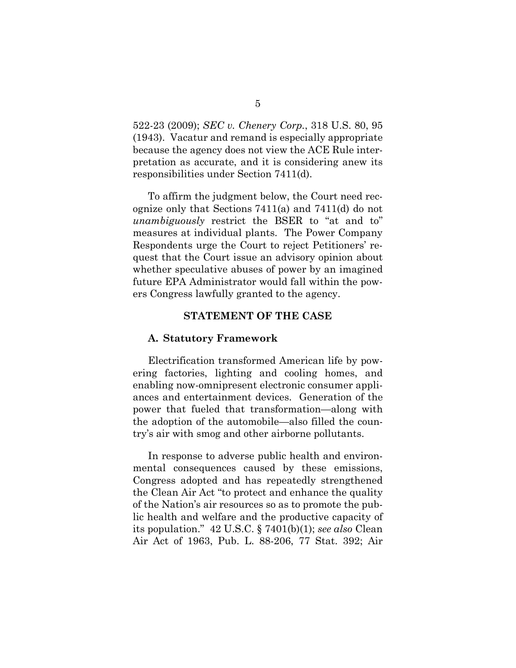<span id="page-21-2"></span>522-23 (2009); *SEC v. Chenery Corp.*, 318 U.S. 80, 95 (1943). Vacatur and remand is especially appropriate because the agency does not view the ACE Rule interpretation as accurate, and it is considering anew its responsibilities under Section 7411(d).

To affirm the judgment below, the Court need recognize only that Sections 7411(a) and 7411(d) do not *unambiguously* restrict the BSER to "at and to" measures at individual plants. The Power Company Respondents urge the Court to reject Petitioners' request that the Court issue an advisory opinion about whether speculative abuses of power by an imagined future EPA Administrator would fall within the powers Congress lawfully granted to the agency.

#### **STATEMENT OF THE CASE**

#### <span id="page-21-1"></span><span id="page-21-0"></span>**A. Statutory Framework**

Electrification transformed American life by powering factories, lighting and cooling homes, and enabling now-omnipresent electronic consumer appliances and entertainment devices. Generation of the power that fueled that transformation—along with the adoption of the automobile—also filled the country's air with smog and other airborne pollutants.

<span id="page-21-5"></span><span id="page-21-4"></span><span id="page-21-3"></span>In response to adverse public health and environmental consequences caused by these emissions, Congress adopted and has repeatedly strengthened the Clean Air Act "to protect and enhance the quality of the Nation's air resources so as to promote the public health and welfare and the productive capacity of its population." 42 U.S.C. § 7401(b)(1); *see also* Clean Air Act of 1963, Pub. L. 88-206, 77 Stat. 392; Air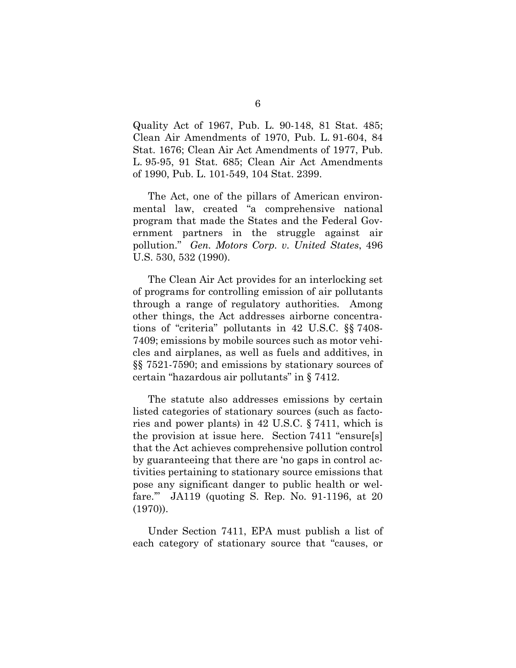<span id="page-22-2"></span><span id="page-22-1"></span>Quality Act of 1967, Pub. L. 90-148, 81 Stat. 485; Clean Air Amendments of 1970, Pub. L. 91-604, 84 Stat. 1676; Clean Air Act Amendments of 1977, Pub. L. 95-95, 91 Stat. 685; Clean Air Act Amendments of 1990, Pub. L. 101-549, 104 Stat. 2399.

<span id="page-22-0"></span>The Act, one of the pillars of American environmental law, created "a comprehensive national program that made the States and the Federal Government partners in the struggle against air pollution." *Gen. Motors Corp. v. United States*, 496 U.S. 530, 532 (1990).

The Clean Air Act provides for an interlocking set of programs for controlling emission of air pollutants through a range of regulatory authorities. Among other things, the Act addresses airborne concentrations of "criteria" pollutants in 42 U.S.C. §§ 7408- 7409; emissions by mobile sources such as motor vehicles and airplanes, as well as fuels and additives, in §§ 7521-7590; and emissions by stationary sources of certain "hazardous air pollutants" in § 7412.

The statute also addresses emissions by certain listed categories of stationary sources (such as factories and power plants) in 42 U.S.C. § 7411, which is the provision at issue here. Section 7411 "ensure[s] that the Act achieves comprehensive pollution control by guaranteeing that there are 'no gaps in control activities pertaining to stationary source emissions that pose any significant danger to public health or welfare.'" JA119 (quoting S. Rep. No. 91-1196, at 20 (1970)).

Under Section 7411, EPA must publish a list of each category of stationary source that "causes, or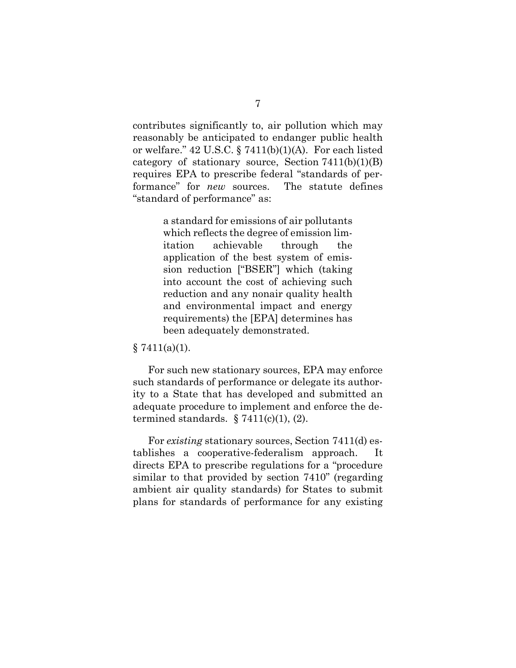<span id="page-23-0"></span>contributes significantly to, air pollution which may reasonably be anticipated to endanger public health or welfare." 42 U.S.C. § 7411(b)(1)(A). For each listed category of stationary source, Section  $7411(b)(1)(B)$ requires EPA to prescribe federal "standards of performance" for *new* sources. The statute defines "standard of performance" as:

> a standard for emissions of air pollutants which reflects the degree of emission limitation achievable through the application of the best system of emission reduction ["BSER"] which (taking into account the cost of achieving such reduction and any nonair quality health and environmental impact and energy requirements) the [EPA] determines has been adequately demonstrated.

#### $§ 7411(a)(1).$

For such new stationary sources, EPA may enforce such standards of performance or delegate its authority to a State that has developed and submitted an adequate procedure to implement and enforce the determined standards.  $\S 7411(c)(1)$ , (2).

<span id="page-23-1"></span>For *existing* stationary sources, Section 7411(d) establishes a cooperative-federalism approach. It directs EPA to prescribe regulations for a "procedure similar to that provided by section 7410" (regarding ambient air quality standards) for States to submit plans for standards of performance for any existing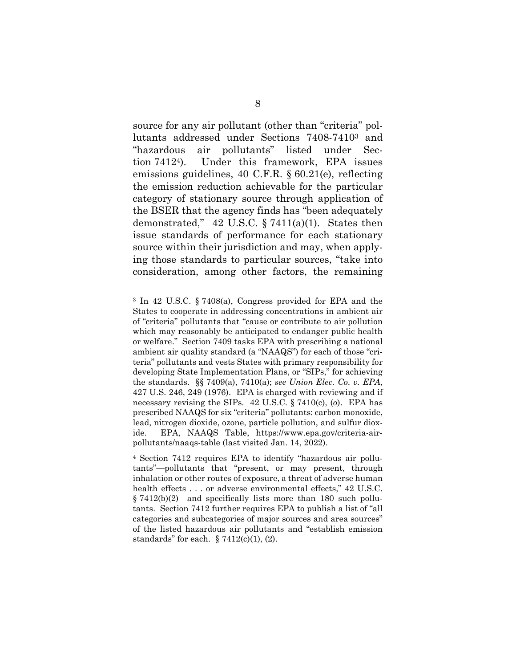<span id="page-24-7"></span>source for any air pollutant (other than "criteria" pollutants addressed under Sections 7408-7410[3](#page-24-8) and "hazardous air pollutants" listed under Section 7412[4](#page-24-9)). Under this framework, EPA issues emissions guidelines, 40 C.F.R. § 60.21(e), reflecting the emission reduction achievable for the particular category of stationary source through application of the BSER that the agency finds has "been adequately demonstrated,"  $42$  U.S.C. § 7411(a)(1). States then issue standards of performance for each stationary source within their jurisdiction and may, when applying those standards to particular sources, "take into consideration, among other factors, the remaining

<span id="page-24-8"></span><span id="page-24-3"></span><span id="page-24-2"></span><span id="page-24-1"></span><span id="page-24-0"></span><sup>3</sup> In 42 U.S.C. § 7408(a), Congress provided for EPA and the States to cooperate in addressing concentrations in ambient air of "criteria" pollutants that "cause or contribute to air pollution which may reasonably be anticipated to endanger public health or welfare." Section 7409 tasks EPA with prescribing a national ambient air quality standard (a "NAAQS") for each of those "criteria" pollutants and vests States with primary responsibility for developing State Implementation Plans, or "SIPs," for achieving the standards. §§ 7409(a), 7410(a); *see Union Elec. Co. v. EPA*, 427 U.S. 246, 249 (1976). EPA is charged with reviewing and if necessary revising the SIPs. 42 U.S.C. § 7410(c), (*o*). EPA has prescribed NAAQS for six "criteria" pollutants: carbon monoxide, lead, nitrogen dioxide, ozone, particle pollution, and sulfur dioxide. EPA, NAAQS Table, https://www.epa.gov/criteria-airpollutants/naaqs-table (last visited Jan. 14, 2022).

<span id="page-24-9"></span><span id="page-24-6"></span><span id="page-24-5"></span><span id="page-24-4"></span><sup>4</sup> Section 7412 requires EPA to identify "hazardous air pollutants"—pollutants that "present, or may present, through inhalation or other routes of exposure, a threat of adverse human health effects . . . or adverse environmental effects," 42 U.S.C. § 7412(b)(2)—and specifically lists more than 180 such pollutants. Section 7412 further requires EPA to publish a list of "all categories and subcategories of major sources and area sources" of the listed hazardous air pollutants and "establish emission standards" for each.  $\S 7412(c)(1)$ , (2).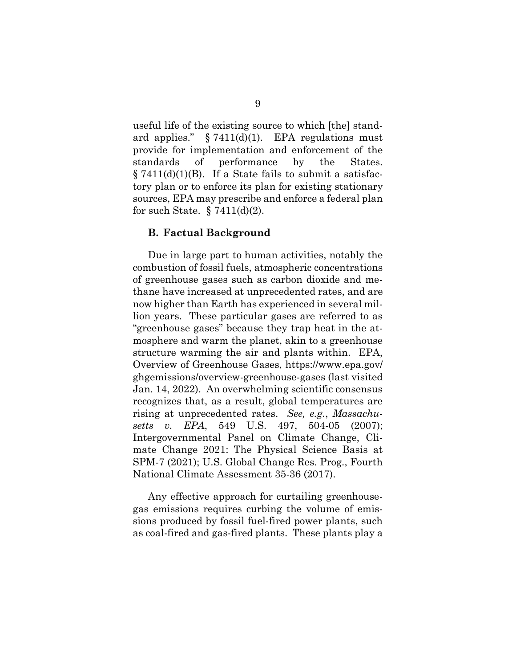<span id="page-25-3"></span><span id="page-25-2"></span>useful life of the existing source to which [the] standard applies."  $\S 7411(d)(1)$ . EPA regulations must provide for implementation and enforcement of the standards of performance by the States.  $\S 7411(d)(1)(B)$ . If a State fails to submit a satisfactory plan or to enforce its plan for existing stationary sources, EPA may prescribe and enforce a federal plan for such State.  $\S 7411(d)(2)$ .

#### <span id="page-25-4"></span><span id="page-25-0"></span>**B. Factual Background**

Due in large part to human activities, notably the combustion of fossil fuels, atmospheric concentrations of greenhouse gases such as carbon dioxide and methane have increased at unprecedented rates, and are now higher than Earth has experienced in several million years. These particular gases are referred to as "greenhouse gases" because they trap heat in the atmosphere and warm the planet, akin to a greenhouse structure warming the air and plants within. EPA, Overview of Greenhouse Gases, https://www.epa.gov/ ghgemissions/overview-greenhouse-gases (last visited Jan. 14, 2022). An overwhelming scientific consensus recognizes that, as a result, global temperatures are rising at unprecedented rates. *See, e.g.*, *Massachusetts v. EPA*, 549 U.S. 497, 504-05 (2007); Intergovernmental Panel on Climate Change, Climate Change 2021: The Physical Science Basis at SPM-7 (2021); U.S. Global Change Res. Prog., Fourth National Climate Assessment 35-36 (2017).

<span id="page-25-1"></span>Any effective approach for curtailing greenhousegas emissions requires curbing the volume of emissions produced by fossil fuel-fired power plants, such as coal-fired and gas-fired plants. These plants play a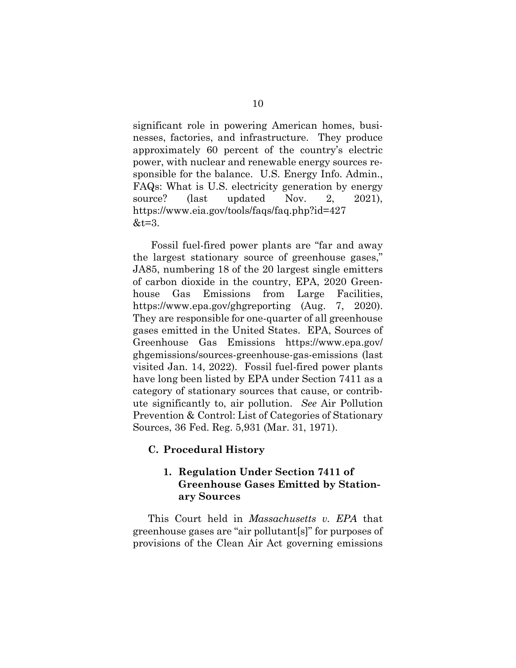significant role in powering American homes, businesses, factories, and infrastructure. They produce approximately 60 percent of the country's electric power, with nuclear and renewable energy sources responsible for the balance. U.S. Energy Info. Admin., FAQs: What is U.S. electricity generation by energy source? (last updated Nov. 2, 2021), https://www.eia.gov/tools/faqs/faq.php?id=427  $&t=3.$ 

<span id="page-26-4"></span> Fossil fuel-fired power plants are "far and away the largest stationary source of greenhouse gases," JA85, numbering 18 of the 20 largest single emitters of carbon dioxide in the country, EPA, 2020 Greenhouse Gas Emissions from Large Facilities, https://www.epa.gov/ghgreporting (Aug. 7, 2020). They are responsible for one-quarter of all greenhouse gases emitted in the United States. EPA, Sources of Greenhouse Gas Emissions https://www.epa.gov/ ghgemissions/sources-greenhouse-gas-emissions (last visited Jan. 14, 2022). Fossil fuel-fired power plants have long been listed by EPA under Section 7411 as a category of stationary sources that cause, or contribute significantly to, air pollution. *See* Air Pollution Prevention & Control: List of Categories of Stationary Sources, 36 Fed. Reg. 5,931 (Mar. 31, 1971).

### <span id="page-26-0"></span>**C. Procedural History**

# <span id="page-26-3"></span><span id="page-26-2"></span><span id="page-26-1"></span>**1. Regulation Under Section 7411 of Greenhouse Gases Emitted by Stationary Sources**

This Court held in *Massachusetts v. EPA* that greenhouse gases are "air pollutant[s]" for purposes of provisions of the Clean Air Act governing emissions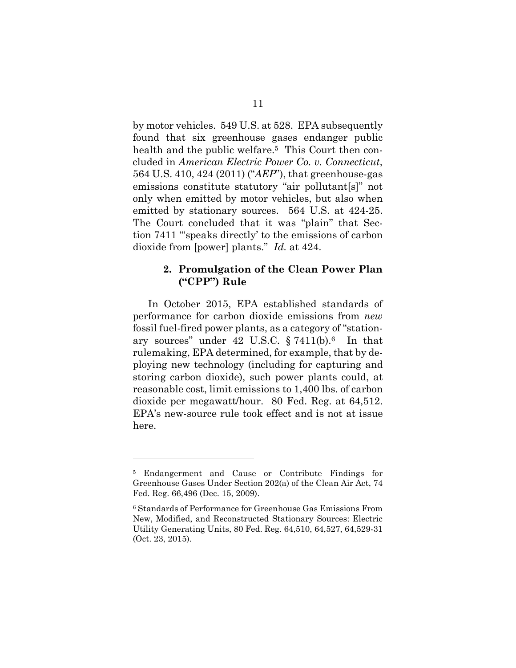<span id="page-27-2"></span><span id="page-27-1"></span>by motor vehicles. 549 U.S. at 528. EPA subsequently found that six greenhouse gases endanger public health and the public welfare.[5](#page-27-5) This Court then concluded in *American Electric Power Co. v. Connecticut*, 564 U.S. 410, 424 (2011) ("*AEP*"), that greenhouse-gas emissions constitute statutory "air pollutant[s]" not only when emitted by motor vehicles, but also when emitted by stationary sources. 564 U.S. at 424-25. The Court concluded that it was "plain" that Section 7411 "'speaks directly' to the emissions of carbon dioxide from [power] plants." *Id.* at 424.

### <span id="page-27-3"></span><span id="page-27-0"></span>**2. Promulgation of the Clean Power Plan ("CPP") Rule**

In October 2015, EPA established standards of performance for carbon dioxide emissions from *new* fossil fuel-fired power plants, as a category of "stationary sources" under 42 U.S.C.  $\S 7411(b).$ <sup>[6](#page-27-6)</sup> In that rulemaking, EPA determined, for example, that by deploying new technology (including for capturing and storing carbon dioxide), such power plants could, at reasonable cost, limit emissions to 1,400 lbs. of carbon dioxide per megawatt/hour. 80 Fed. Reg. at 64,512. EPA's new-source rule took effect and is not at issue here.

<span id="page-27-5"></span><sup>5</sup> Endangerment and Cause or Contribute Findings for Greenhouse Gases Under Section 202(a) of the Clean Air Act, 74 Fed. Reg. 66,496 (Dec. 15, 2009).

<span id="page-27-6"></span><span id="page-27-4"></span><sup>6</sup> Standards of Performance for Greenhouse Gas Emissions From New, Modified, and Reconstructed Stationary Sources: Electric Utility Generating Units, 80 Fed. Reg. 64,510, 64,527, 64,529-31 (Oct. 23, 2015).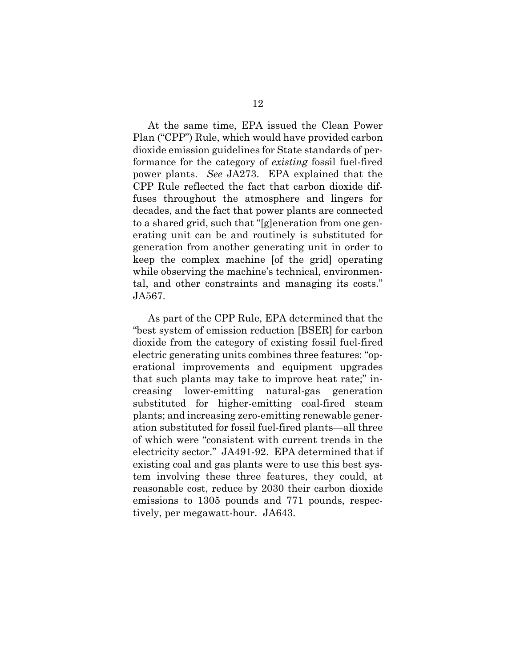At the same time, EPA issued the Clean Power Plan ("CPP") Rule, which would have provided carbon dioxide emission guidelines for State standards of performance for the category of *existing* fossil fuel-fired power plants. *See* JA273. EPA explained that the CPP Rule reflected the fact that carbon dioxide diffuses throughout the atmosphere and lingers for decades, and the fact that power plants are connected to a shared grid, such that "[g]eneration from one generating unit can be and routinely is substituted for generation from another generating unit in order to keep the complex machine [of the grid] operating while observing the machine's technical, environmental, and other constraints and managing its costs." JA567.

As part of the CPP Rule, EPA determined that the "best system of emission reduction [BSER] for carbon dioxide from the category of existing fossil fuel-fired electric generating units combines three features: "operational improvements and equipment upgrades that such plants may take to improve heat rate;" increasing lower-emitting natural-gas generation substituted for higher-emitting coal-fired steam plants; and increasing zero-emitting renewable generation substituted for fossil fuel-fired plants—all three of which were "consistent with current trends in the electricity sector." JA491-92. EPA determined that if existing coal and gas plants were to use this best system involving these three features, they could, at reasonable cost, reduce by 2030 their carbon dioxide emissions to 1305 pounds and 771 pounds, respectively, per megawatt-hour. JA643.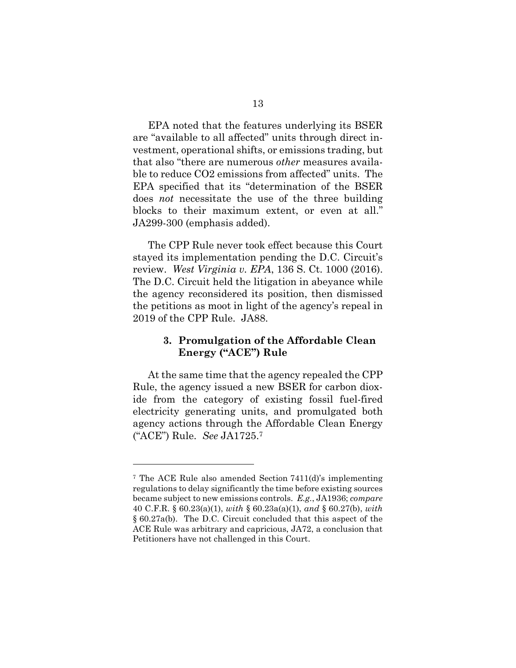EPA noted that the features underlying its BSER are "available to all affected" units through direct investment, operational shifts, or emissions trading, but that also "there are numerous *other* measures available to reduce CO2 emissions from affected" units. The EPA specified that its "determination of the BSER does *not* necessitate the use of the three building blocks to their maximum extent, or even at all." JA299-300 (emphasis added).

<span id="page-29-1"></span>The CPP Rule never took effect because this Court stayed its implementation pending the D.C. Circuit's review. *West Virginia v. EPA*, 136 S. Ct. 1000 (2016). The D.C. Circuit held the litigation in abeyance while the agency reconsidered its position, then dismissed the petitions as moot in light of the agency's repeal in 2019 of the CPP Rule. JA88.

### <span id="page-29-0"></span>**3. Promulgation of the Affordable Clean Energy ("ACE") Rule**

At the same time that the agency repealed the CPP Rule, the agency issued a new BSER for carbon dioxide from the category of existing fossil fuel-fired electricity generating units, and promulgated both agency actions through the Affordable Clean Energy ("ACE") Rule. *See* JA1725.[7](#page-29-6)

<span id="page-29-6"></span><span id="page-29-5"></span><span id="page-29-4"></span><span id="page-29-3"></span><span id="page-29-2"></span><sup>7</sup> The ACE Rule also amended Section 7411(d)'s implementing regulations to delay significantly the time before existing sources became subject to new emissions controls. *E.g.*, JA1936; *compare* 40 C.F.R. § 60.23(a)(1), *with* § 60.23a(a)(1), *and* § 60.27(b), *with* § 60.27a(b). The D.C. Circuit concluded that this aspect of the ACE Rule was arbitrary and capricious, JA72, a conclusion that Petitioners have not challenged in this Court.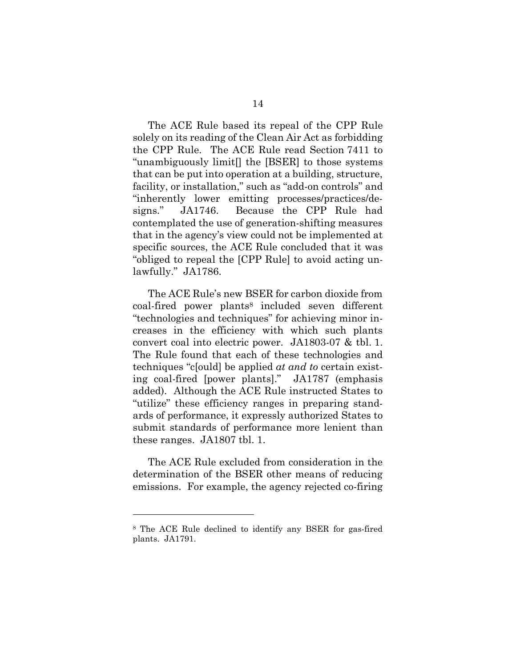The ACE Rule based its repeal of the CPP Rule solely on its reading of the Clean Air Act as forbidding the CPP Rule. The ACE Rule read Section 7411 to "unambiguously limit[] the [BSER] to those systems that can be put into operation at a building, structure, facility, or installation," such as "add-on controls" and "inherently lower emitting processes/practices/designs." JA1746. Because the CPP Rule had contemplated the use of generation-shifting measures that in the agency's view could not be implemented at specific sources, the ACE Rule concluded that it was "obliged to repeal the [CPP Rule] to avoid acting unlawfully." JA1786.

The ACE Rule's new BSER for carbon dioxide from coal-fired power plants[8](#page-30-0) included seven different "technologies and techniques" for achieving minor increases in the efficiency with which such plants convert coal into electric power. JA1803-07 & tbl. 1. The Rule found that each of these technologies and techniques "c[ould] be applied *at and to* certain existing coal-fired [power plants]." JA1787 (emphasis added). Although the ACE Rule instructed States to "utilize" these efficiency ranges in preparing standards of performance, it expressly authorized States to submit standards of performance more lenient than these ranges. JA1807 tbl. 1.

The ACE Rule excluded from consideration in the determination of the BSER other means of reducing emissions. For example, the agency rejected co-firing

<span id="page-30-0"></span><sup>8</sup> The ACE Rule declined to identify any BSER for gas-fired plants. JA1791.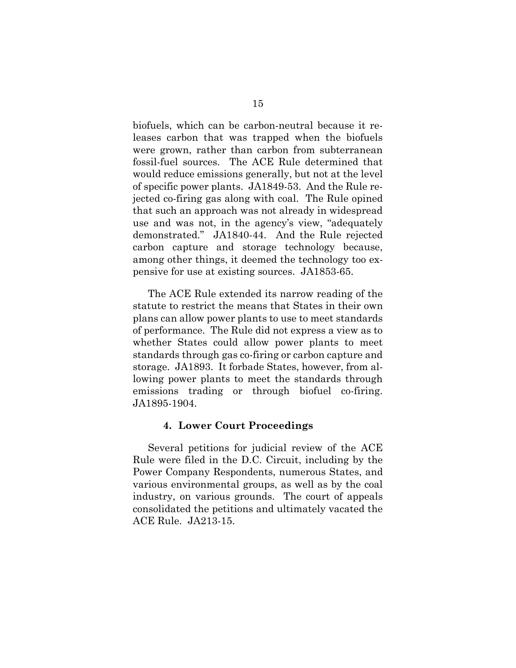biofuels, which can be carbon-neutral because it releases carbon that was trapped when the biofuels were grown, rather than carbon from subterranean fossil-fuel sources. The ACE Rule determined that would reduce emissions generally, but not at the level of specific power plants. JA1849-53. And the Rule rejected co-firing gas along with coal. The Rule opined that such an approach was not already in widespread use and was not, in the agency's view, "adequately demonstrated." JA1840-44. And the Rule rejected carbon capture and storage technology because, among other things, it deemed the technology too expensive for use at existing sources. JA1853-65.

The ACE Rule extended its narrow reading of the statute to restrict the means that States in their own plans can allow power plants to use to meet standards of performance. The Rule did not express a view as to whether States could allow power plants to meet standards through gas co-firing or carbon capture and storage. JA1893. It forbade States, however, from allowing power plants to meet the standards through emissions trading or through biofuel co-firing. JA1895-1904.

#### <span id="page-31-0"></span>**4. Lower Court Proceedings**

Several petitions for judicial review of the ACE Rule were filed in the D.C. Circuit, including by the Power Company Respondents, numerous States, and various environmental groups, as well as by the coal industry, on various grounds. The court of appeals consolidated the petitions and ultimately vacated the ACE Rule. JA213-15.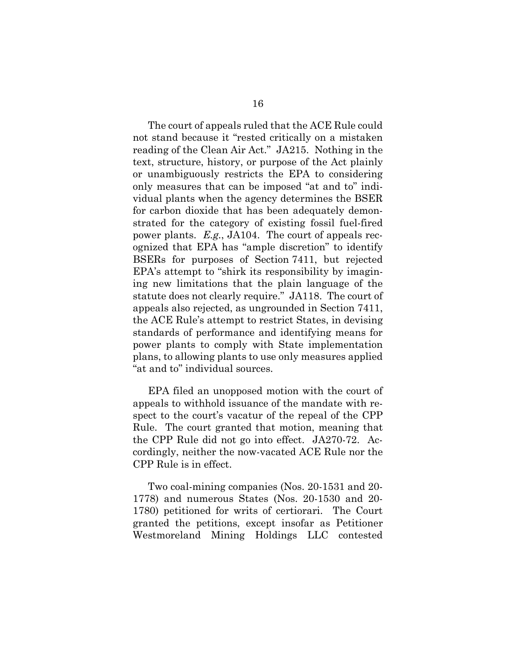The court of appeals ruled that the ACE Rule could not stand because it "rested critically on a mistaken reading of the Clean Air Act." JA215. Nothing in the text, structure, history, or purpose of the Act plainly or unambiguously restricts the EPA to considering only measures that can be imposed "at and to" individual plants when the agency determines the BSER for carbon dioxide that has been adequately demonstrated for the category of existing fossil fuel-fired power plants. *E.g.*, JA104. The court of appeals recognized that EPA has "ample discretion" to identify BSERs for purposes of Section 7411, but rejected EPA's attempt to "shirk its responsibility by imagining new limitations that the plain language of the statute does not clearly require." JA118. The court of appeals also rejected, as ungrounded in Section 7411, the ACE Rule's attempt to restrict States, in devising standards of performance and identifying means for power plants to comply with State implementation plans, to allowing plants to use only measures applied "at and to" individual sources.

EPA filed an unopposed motion with the court of appeals to withhold issuance of the mandate with respect to the court's vacatur of the repeal of the CPP Rule. The court granted that motion, meaning that the CPP Rule did not go into effect. JA270-72. Accordingly, neither the now-vacated ACE Rule nor the CPP Rule is in effect.

Two coal-mining companies (Nos. 20-1531 and 20- 1778) and numerous States (Nos. 20-1530 and 20- 1780) petitioned for writs of certiorari. The Court granted the petitions, except insofar as Petitioner Westmoreland Mining Holdings LLC contested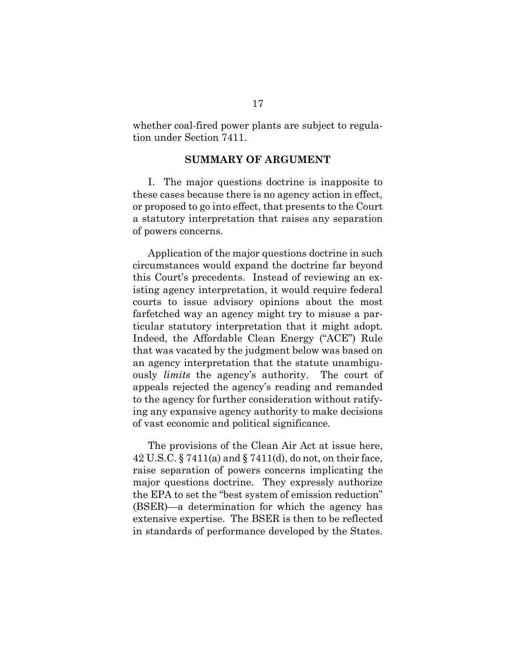<span id="page-33-0"></span>whether coal-fired power plants are subject to regulation under Section 7411.

#### **SUMMARY OF ARGUMENT**

I. The major questions doctrine is inapposite to these cases because there is no agency action in effect, or proposed to go into effect, that presents to the Court a statutory interpretation that raises any separation of powers concerns.

Application of the major questions doctrine in such circumstances would expand the doctrine far beyond this Court's precedents. Instead of reviewing an existing agency interpretation, it would require federal courts to issue advisory opinions about the most farfetched way an agency might try to misuse a particular statutory interpretation that it might adopt. Indeed, the Affordable Clean Energy ("ACE") Rule that was vacated by the judgment below was based on an agency interpretation that the statute unambiguously *limits* the agency's authority. The court of appeals rejected the agency's reading and remanded to the agency for further consideration without ratifying any expansive agency authority to make decisions of vast economic and political significance.

The provisions of the Clean Air Act at issue here, 42 U.S.C. § 7411(a) and § 7411(d), do not, on their face, raise separation of powers concerns implicating the major questions doctrine. They expressly authorize the EPA to set the "best system of emission reduction" (BSER)—a determination for which the agency has extensive expertise. The BSER is then to be reflected in standards of performance developed by the States.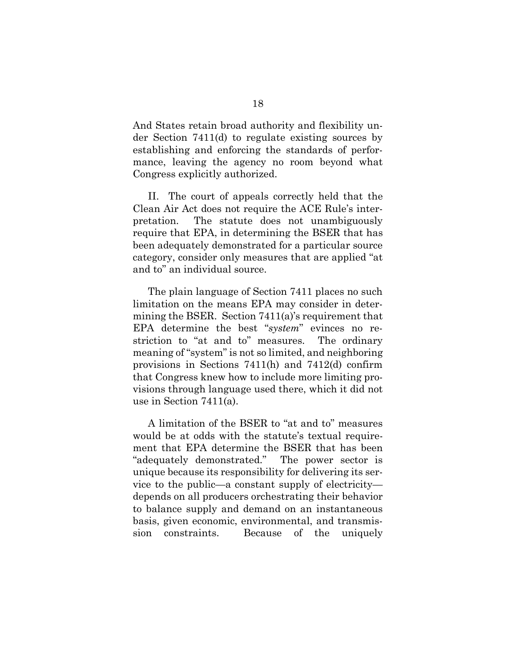And States retain broad authority and flexibility under Section 7411(d) to regulate existing sources by establishing and enforcing the standards of performance, leaving the agency no room beyond what Congress explicitly authorized.

II. The court of appeals correctly held that the Clean Air Act does not require the ACE Rule's interpretation. The statute does not unambiguously require that EPA, in determining the BSER that has been adequately demonstrated for a particular source category, consider only measures that are applied "at and to" an individual source.

The plain language of Section 7411 places no such limitation on the means EPA may consider in determining the BSER. Section 7411(a)'s requirement that EPA determine the best "*system*" evinces no restriction to "at and to" measures. The ordinary meaning of "system" is not so limited, and neighboring provisions in Sections 7411(h) and 7412(d) confirm that Congress knew how to include more limiting provisions through language used there, which it did not use in Section 7411(a).

A limitation of the BSER to "at and to" measures would be at odds with the statute's textual requirement that EPA determine the BSER that has been "adequately demonstrated." The power sector is unique because its responsibility for delivering its service to the public—a constant supply of electricity depends on all producers orchestrating their behavior to balance supply and demand on an instantaneous basis, given economic, environmental, and transmission constraints. Because of the uniquely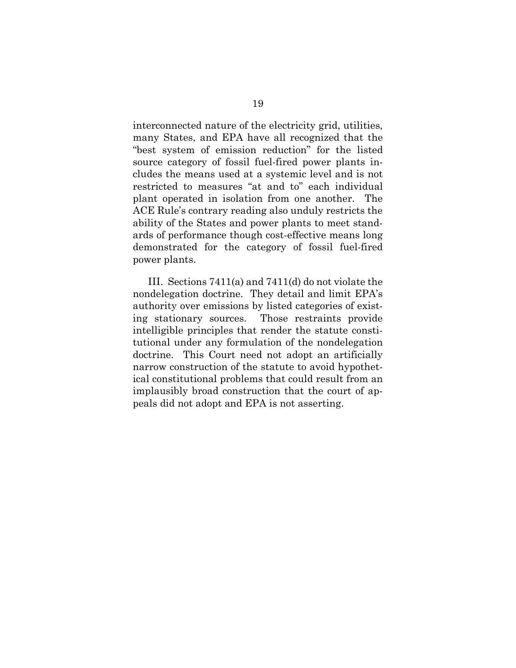interconnected nature of the electricity grid, utilities, many States, and EPA have all recognized that the "best system of emission reduction" for the listed source category of fossil fuel-fired power plants includes the means used at a systemic level and is not restricted to measures "at and to" each individual plant operated in isolation from one another. The ACE Rule's contrary reading also unduly restricts the ability of the States and power plants to meet standards of performance though cost-effective means long demonstrated for the category of fossil fuel-fired power plants.

III. Sections 7411(a) and 7411(d) do not violate the nondelegation doctrine. They detail and limit EPA's authority over emissions by listed categories of existing stationary sources. Those restraints provide intelligible principles that render the statute constitutional under any formulation of the nondelegation doctrine. This Court need not adopt an artificially narrow construction of the statute to avoid hypothetical constitutional problems that could result from an implausibly broad construction that the court of appeals did not adopt and EPA is not asserting.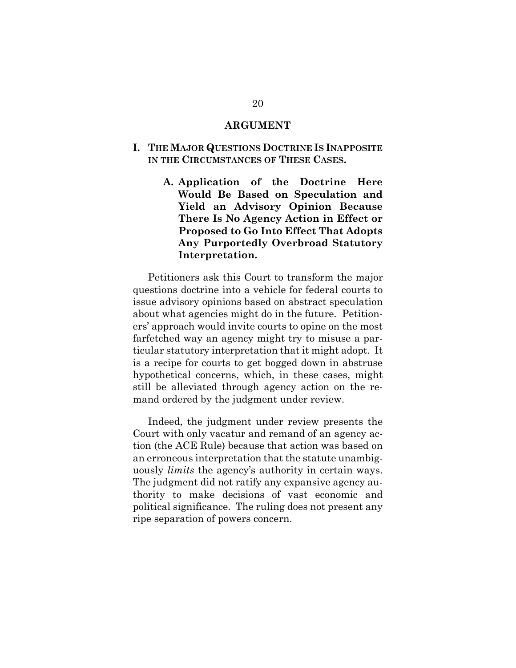#### **ARGUMENT**

#### <span id="page-36-2"></span><span id="page-36-1"></span><span id="page-36-0"></span>**I. THE MAJOR QUESTIONS DOCTRINE IS INAPPOSITE IN THE CIRCUMSTANCES OF THESE CASES.**

**A. Application of the Doctrine Here Would Be Based on Speculation and Yield an Advisory Opinion Because There Is No Agency Action in Effect or Proposed to Go Into Effect That Adopts Any Purportedly Overbroad Statutory Interpretation.** 

Petitioners ask this Court to transform the major questions doctrine into a vehicle for federal courts to issue advisory opinions based on abstract speculation about what agencies might do in the future. Petitioners' approach would invite courts to opine on the most farfetched way an agency might try to misuse a particular statutory interpretation that it might adopt. It is a recipe for courts to get bogged down in abstruse hypothetical concerns, which, in these cases, might still be alleviated through agency action on the remand ordered by the judgment under review.

Indeed, the judgment under review presents the Court with only vacatur and remand of an agency action (the ACE Rule) because that action was based on an erroneous interpretation that the statute unambiguously *limits* the agency's authority in certain ways. The judgment did not ratify any expansive agency authority to make decisions of vast economic and political significance. The ruling does not present any ripe separation of powers concern.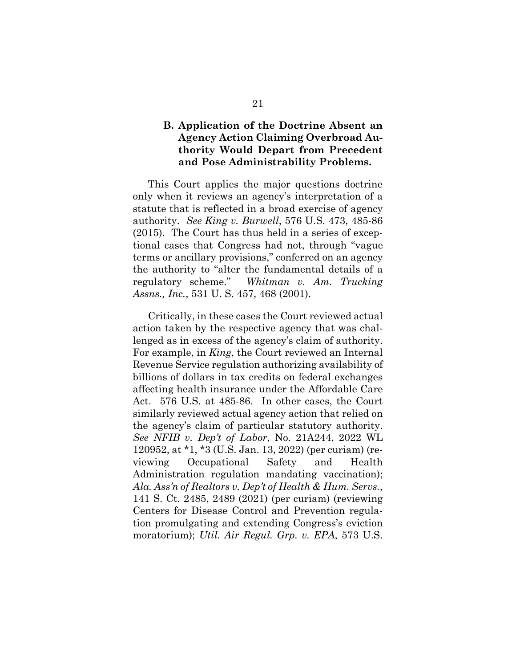# <span id="page-37-0"></span>**B. Application of the Doctrine Absent an Agency Action Claiming Overbroad Authority Would Depart from Precedent and Pose Administrability Problems.**

<span id="page-37-2"></span>This Court applies the major questions doctrine only when it reviews an agency's interpretation of a statute that is reflected in a broad exercise of agency authority. *See King v. Burwell*, 576 U.S. 473, 485-86 (2015). The Court has thus held in a series of exceptional cases that Congress had not, through "vague terms or ancillary provisions," conferred on an agency the authority to "alter the fundamental details of a regulatory scheme." *Whitman v. Am. Trucking Assns., Inc.*, 531 U. S. 457, 468 (2001).

<span id="page-37-5"></span><span id="page-37-4"></span><span id="page-37-3"></span><span id="page-37-1"></span>Critically, in these cases the Court reviewed actual action taken by the respective agency that was challenged as in excess of the agency's claim of authority. For example, in *King*, the Court reviewed an Internal Revenue Service regulation authorizing availability of billions of dollars in tax credits on federal exchanges affecting health insurance under the Affordable Care Act. 576 U.S. at 485-86. In other cases, the Court similarly reviewed actual agency action that relied on the agency's claim of particular statutory authority. *See NFIB v. Dep't of Labor*, No. 21A244, 2022 WL 120952, at \*1, \*3 (U.S. Jan. 13, 2022) (per curiam) (reviewing Occupational Safety and Health Administration regulation mandating vaccination); *Ala. Ass'n of Realtors v. Dep't of Health & Hum. Servs.*, 141 S. Ct. 2485, 2489 (2021) (per curiam) (reviewing Centers for Disease Control and Prevention regulation promulgating and extending Congress's eviction moratorium); *Util. Air Regul. Grp. v. EPA*, 573 U.S.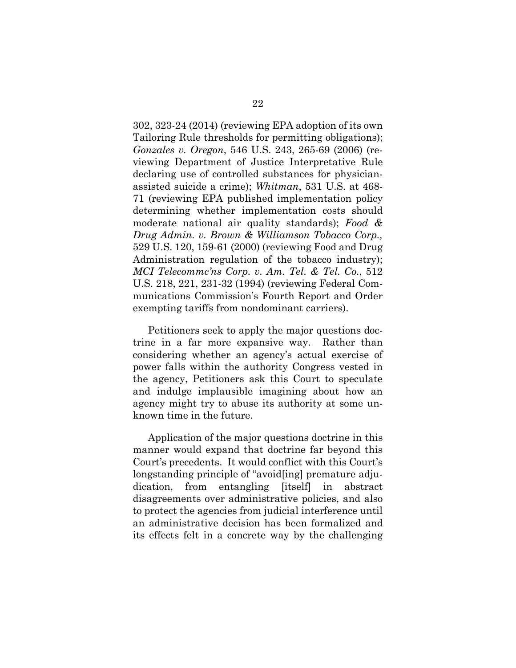<span id="page-38-3"></span><span id="page-38-1"></span><span id="page-38-0"></span>302, 323-24 (2014) (reviewing EPA adoption of its own Tailoring Rule thresholds for permitting obligations); *Gonzales v. Oregon*, 546 U.S. 243, 265-69 (2006) (reviewing Department of Justice Interpretative Rule declaring use of controlled substances for physicianassisted suicide a crime); *Whitman*, 531 U.S. at 468- 71 (reviewing EPA published implementation policy determining whether implementation costs should moderate national air quality standards); *Food & Drug Admin. v. Brown & Williamson Tobacco Corp.,*  529 U.S. 120, 159-61 (2000) (reviewing Food and Drug Administration regulation of the tobacco industry); *MCI Telecommc'ns Corp. v. Am. Tel. & Tel. Co.*, 512 U.S. 218, 221, 231-32 (1994) (reviewing Federal Communications Commission's Fourth Report and Order exempting tariffs from nondominant carriers).

<span id="page-38-2"></span>Petitioners seek to apply the major questions doctrine in a far more expansive way. Rather than considering whether an agency's actual exercise of power falls within the authority Congress vested in the agency, Petitioners ask this Court to speculate and indulge implausible imagining about how an agency might try to abuse its authority at some unknown time in the future.

Application of the major questions doctrine in this manner would expand that doctrine far beyond this Court's precedents. It would conflict with this Court's longstanding principle of "avoid[ing] premature adjudication, from entangling [itself] in abstract disagreements over administrative policies, and also to protect the agencies from judicial interference until an administrative decision has been formalized and its effects felt in a concrete way by the challenging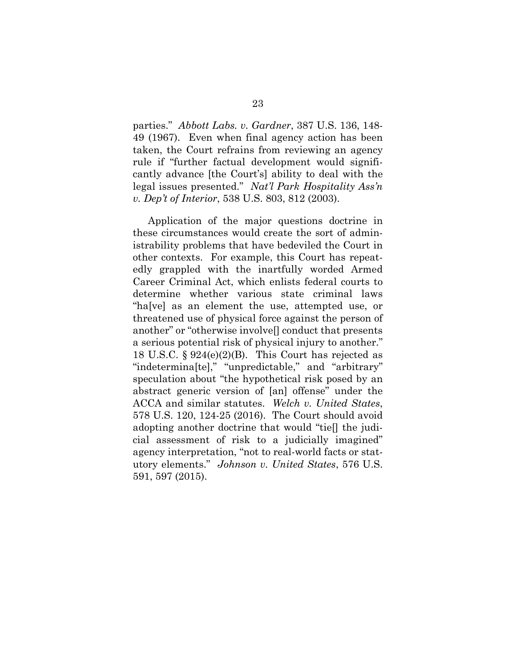<span id="page-39-0"></span>parties." *Abbott Labs. v. Gardner*, 387 U.S. 136, 148- 49 (1967). Even when final agency action has been taken, the Court refrains from reviewing an agency rule if "further factual development would significantly advance [the Court's] ability to deal with the legal issues presented." *Nat'l Park Hospitality Ass'n v. Dep't of Interior*, 538 U.S. 803, 812 (2003).

<span id="page-39-4"></span><span id="page-39-3"></span><span id="page-39-2"></span><span id="page-39-1"></span>Application of the major questions doctrine in these circumstances would create the sort of administrability problems that have bedeviled the Court in other contexts. For example, this Court has repeatedly grappled with the inartfully worded Armed Career Criminal Act, which enlists federal courts to determine whether various state criminal laws "ha[ve] as an element the use, attempted use, or threatened use of physical force against the person of another" or "otherwise involve[] conduct that presents a serious potential risk of physical injury to another." 18 U.S.C. § 924(e)(2)(B). This Court has rejected as "indetermina[te]," "unpredictable," and "arbitrary" speculation about "the hypothetical risk posed by an abstract generic version of [an] offense" under the ACCA and similar statutes. *Welch v. United States*, 578 U.S. 120, 124-25 (2016). The Court should avoid adopting another doctrine that would "tie[] the judicial assessment of risk to a judicially imagined" agency interpretation, "not to real-world facts or statutory elements." *Johnson v. United States*, 576 U.S. 591, 597 (2015).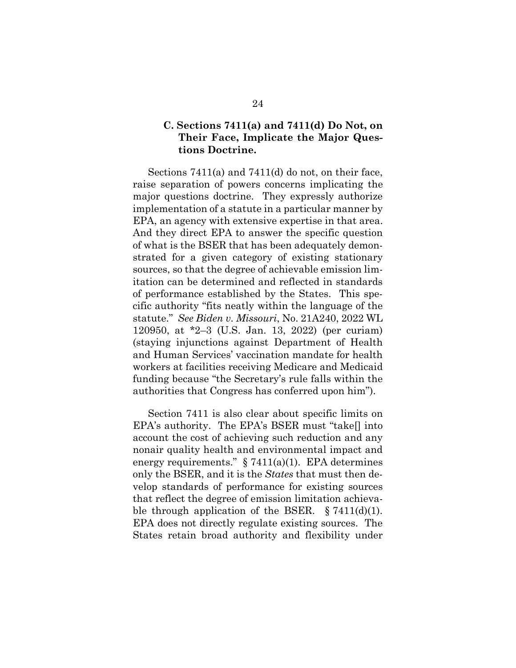## <span id="page-40-0"></span>**C. Sections 7411(a) and 7411(d) Do Not, on Their Face, Implicate the Major Questions Doctrine.**

Sections 7411(a) and 7411(d) do not, on their face, raise separation of powers concerns implicating the major questions doctrine. They expressly authorize implementation of a statute in a particular manner by EPA, an agency with extensive expertise in that area. And they direct EPA to answer the specific question of what is the BSER that has been adequately demonstrated for a given category of existing stationary sources, so that the degree of achievable emission limitation can be determined and reflected in standards of performance established by the States. This specific authority "fits neatly within the language of the statute." *See Biden v. Missouri*, No. 21A240, 2022 WL 120950, at \*2–3 (U.S. Jan. 13, 2022) (per curiam) (staying injunctions against Department of Health and Human Services' vaccination mandate for health workers at facilities receiving Medicare and Medicaid funding because "the Secretary's rule falls within the authorities that Congress has conferred upon him").

<span id="page-40-1"></span>Section 7411 is also clear about specific limits on EPA's authority. The EPA's BSER must "take[] into account the cost of achieving such reduction and any nonair quality health and environmental impact and energy requirements."  $\S 7411(a)(1)$ . EPA determines only the BSER, and it is the *States* that must then develop standards of performance for existing sources that reflect the degree of emission limitation achievable through application of the BSER.  $\S 7411(d)(1)$ . EPA does not directly regulate existing sources. The States retain broad authority and flexibility under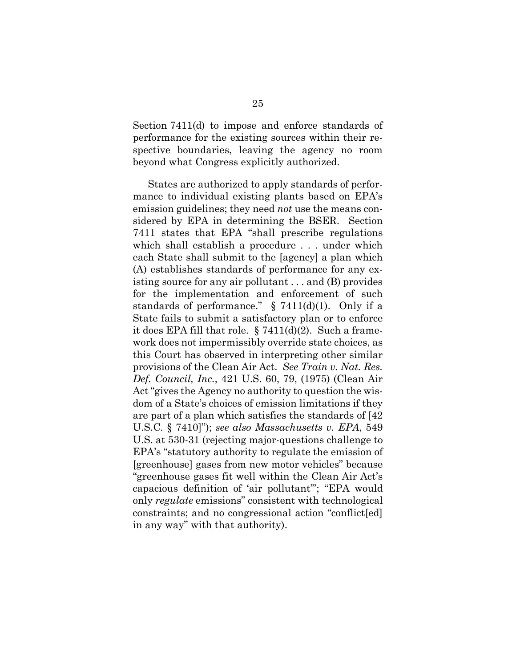Section 7411(d) to impose and enforce standards of performance for the existing sources within their respective boundaries, leaving the agency no room beyond what Congress explicitly authorized.

<span id="page-41-1"></span><span id="page-41-0"></span>States are authorized to apply standards of performance to individual existing plants based on EPA's emission guidelines; they need *not* use the means considered by EPA in determining the BSER. Section 7411 states that EPA "shall prescribe regulations which shall establish a procedure . . . under which each State shall submit to the [agency] a plan which (A) establishes standards of performance for any existing source for any air pollutant . . . and (B) provides for the implementation and enforcement of such standards of performance."  $\S$  7411(d)(1). Only if a State fails to submit a satisfactory plan or to enforce it does EPA fill that role.  $\S 7411(d)(2)$ . Such a framework does not impermissibly override state choices, as this Court has observed in interpreting other similar provisions of the Clean Air Act. *See Train v. Nat. Res. Def. Council, Inc.*, 421 U.S. 60, 79, (1975) (Clean Air Act "gives the Agency no authority to question the wisdom of a State's choices of emission limitations if they are part of a plan which satisfies the standards of [42 U.S.C. § 7410]"); *see also Massachusetts v. EPA*, 549 U.S. at 530-31 (rejecting major-questions challenge to EPA's "statutory authority to regulate the emission of [greenhouse] gases from new motor vehicles" because "greenhouse gases fit well within the Clean Air Act's capacious definition of 'air pollutant'"; "EPA would only *regulate* emissions" consistent with technological constraints; and no congressional action "conflict[ed] in any way" with that authority).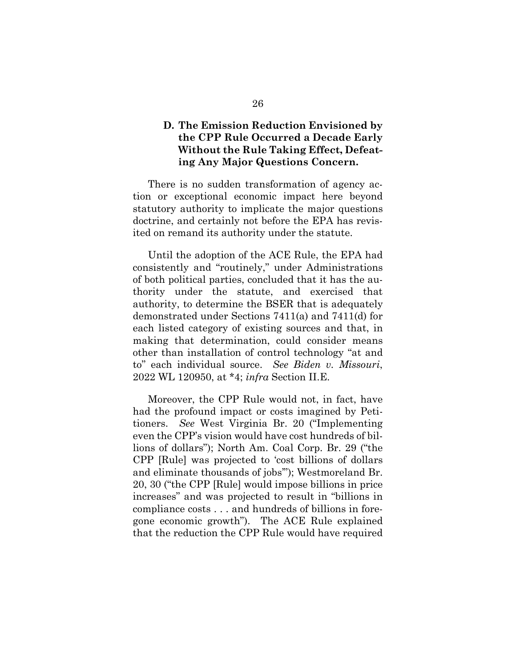# <span id="page-42-0"></span>**D. The Emission Reduction Envisioned by the CPP Rule Occurred a Decade Early Without the Rule Taking Effect, Defeating Any Major Questions Concern.**

There is no sudden transformation of agency action or exceptional economic impact here beyond statutory authority to implicate the major questions doctrine, and certainly not before the EPA has revisited on remand its authority under the statute.

Until the adoption of the ACE Rule, the EPA had consistently and "routinely," under Administrations of both political parties, concluded that it has the authority under the statute, and exercised that authority, to determine the BSER that is adequately demonstrated under Sections 7411(a) and 7411(d) for each listed category of existing sources and that, in making that determination, could consider means other than installation of control technology "at and to" each individual source. *See Biden v. Missouri*, 2022 WL 120950, at \*4; *infra* Section II.E.

<span id="page-42-1"></span>Moreover, the CPP Rule would not, in fact, have had the profound impact or costs imagined by Petitioners. *See* West Virginia Br. 20 ("Implementing even the CPP's vision would have cost hundreds of billions of dollars"); North Am. Coal Corp. Br. 29 ("the CPP [Rule] was projected to 'cost billions of dollars and eliminate thousands of jobs'"); Westmoreland Br. 20, 30 ("the CPP [Rule] would impose billions in price increases" and was projected to result in "billions in compliance costs . . . and hundreds of billions in foregone economic growth"). The ACE Rule explained that the reduction the CPP Rule would have required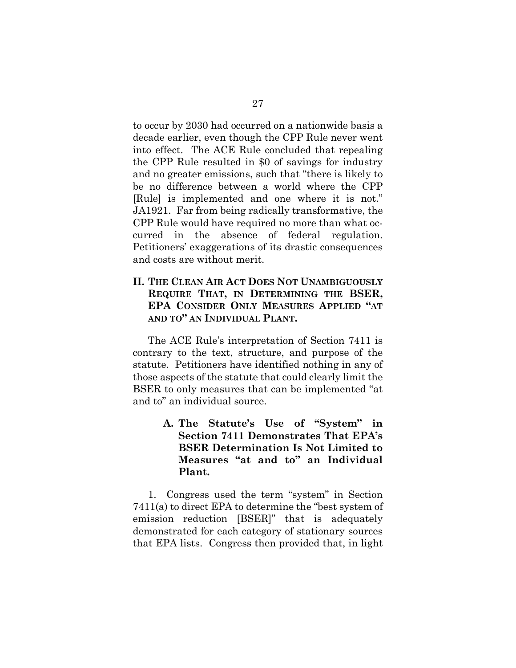to occur by 2030 had occurred on a nationwide basis a decade earlier, even though the CPP Rule never went into effect. The ACE Rule concluded that repealing the CPP Rule resulted in \$0 of savings for industry and no greater emissions, such that "there is likely to be no difference between a world where the CPP [Rule] is implemented and one where it is not." JA1921. Far from being radically transformative, the CPP Rule would have required no more than what occurred in the absence of federal regulation. Petitioners' exaggerations of its drastic consequences and costs are without merit.

# <span id="page-43-0"></span>**II. THE CLEAN AIR ACT DOES NOT UNAMBIGUOUSLY REQUIRE THAT, IN DETERMINING THE BSER, EPA CONSIDER ONLY MEASURES APPLIED "AT AND TO" AN INDIVIDUAL PLANT.**

The ACE Rule's interpretation of Section 7411 is contrary to the text, structure, and purpose of the statute. Petitioners have identified nothing in any of those aspects of the statute that could clearly limit the BSER to only measures that can be implemented "at and to" an individual source.

> <span id="page-43-1"></span>**A. The Statute's Use of "System" in Section 7411 Demonstrates That EPA's BSER Determination Is Not Limited to Measures "at and to" an Individual Plant.**

1. Congress used the term "system" in Section 7411(a) to direct EPA to determine the "best system of emission reduction [BSER]" that is adequately demonstrated for each category of stationary sources that EPA lists. Congress then provided that, in light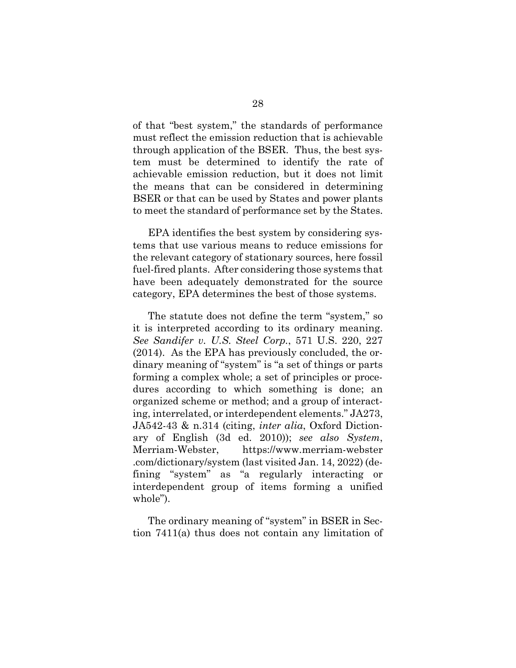of that "best system," the standards of performance must reflect the emission reduction that is achievable through application of the BSER. Thus, the best system must be determined to identify the rate of achievable emission reduction, but it does not limit the means that can be considered in determining BSER or that can be used by States and power plants to meet the standard of performance set by the States.

EPA identifies the best system by considering systems that use various means to reduce emissions for the relevant category of stationary sources, here fossil fuel-fired plants. After considering those systems that have been adequately demonstrated for the source category, EPA determines the best of those systems.

<span id="page-44-0"></span>The statute does not define the term "system," so it is interpreted according to its ordinary meaning. *See Sandifer v. U.S. Steel Corp.*, 571 U.S. 220, 227 (2014). As the EPA has previously concluded, the ordinary meaning of "system" is "a set of things or parts forming a complex whole; a set of principles or procedures according to which something is done; an organized scheme or method; and a group of interacting, interrelated, or interdependent elements." JA273, JA542-43 & n.314 (citing, *inter alia*, Oxford Dictionary of English (3d ed. 2010)); *see also System*, Merriam-Webster, https://www.merriam-webster .com/dictionary/system (last visited Jan. 14, 2022) (defining "system" as "a regularly interacting or interdependent group of items forming a unified whole").

<span id="page-44-1"></span>The ordinary meaning of "system" in BSER in Section 7411(a) thus does not contain any limitation of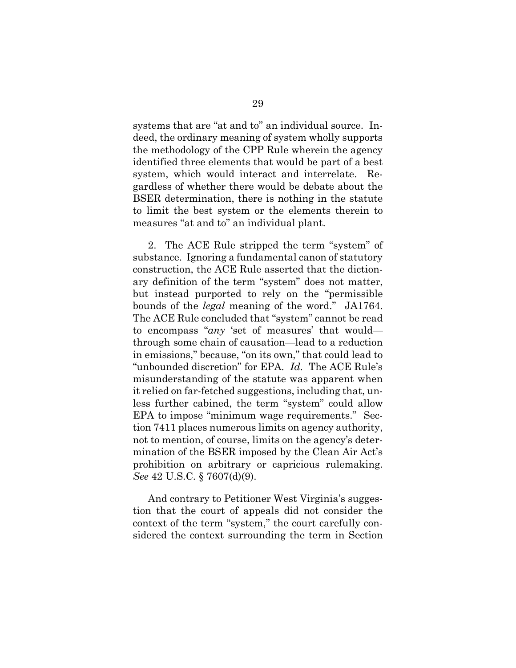systems that are "at and to" an individual source. Indeed, the ordinary meaning of system wholly supports the methodology of the CPP Rule wherein the agency identified three elements that would be part of a best system, which would interact and interrelate. Regardless of whether there would be debate about the BSER determination, there is nothing in the statute to limit the best system or the elements therein to measures "at and to" an individual plant.

2. The ACE Rule stripped the term "system" of substance. Ignoring a fundamental canon of statutory construction, the ACE Rule asserted that the dictionary definition of the term "system" does not matter, but instead purported to rely on the "permissible bounds of the *legal* meaning of the word." JA1764. The ACE Rule concluded that "system" cannot be read to encompass "*any* 'set of measures' that would through some chain of causation—lead to a reduction in emissions," because, "on its own," that could lead to "unbounded discretion" for EPA. *Id.* The ACE Rule's misunderstanding of the statute was apparent when it relied on far-fetched suggestions, including that, unless further cabined, the term "system" could allow EPA to impose "minimum wage requirements." Section 7411 places numerous limits on agency authority, not to mention, of course, limits on the agency's determination of the BSER imposed by the Clean Air Act's prohibition on arbitrary or capricious rulemaking. *See* 42 U.S.C. § 7607(d)(9).

<span id="page-45-0"></span>And contrary to Petitioner West Virginia's suggestion that the court of appeals did not consider the context of the term "system," the court carefully considered the context surrounding the term in Section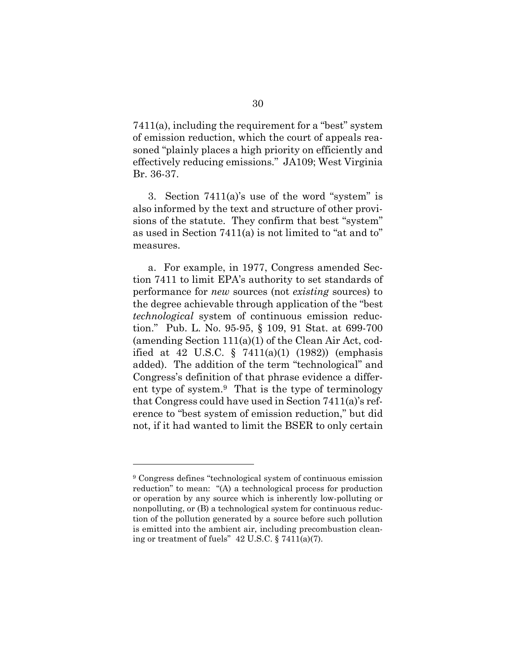7411(a), including the requirement for a "best" system of emission reduction, which the court of appeals reasoned "plainly places a high priority on efficiently and effectively reducing emissions." JA109; West Virginia Br. 36-37.

3. Section 7411(a)'s use of the word "system" is also informed by the text and structure of other provisions of the statute. They confirm that best "system" as used in Section 7411(a) is not limited to "at and to" measures.

<span id="page-46-1"></span>a. For example, in 1977, Congress amended Section 7411 to limit EPA's authority to set standards of performance for *new* sources (not *existing* sources) to the degree achievable through application of the "best *technological* system of continuous emission reduction." Pub. L. No. 95-95, § 109, 91 Stat. at 699-700 (amending Section  $111(a)(1)$  of the Clean Air Act, codified at 42 U.S.C.  $\S$  7411(a)(1) (1982)) (emphasis added). The addition of the term "technological" and Congress's definition of that phrase evidence a different type of system.[9](#page-46-2) That is the type of terminology that Congress could have used in Section 7411(a)'s reference to "best system of emission reduction," but did not, if it had wanted to limit the BSER to only certain

<span id="page-46-2"></span><span id="page-46-0"></span><sup>9</sup> Congress defines "technological system of continuous emission reduction" to mean: "(A) a technological process for production or operation by any source which is inherently low-polluting or nonpolluting, or (B) a technological system for continuous reduction of the pollution generated by a source before such pollution is emitted into the ambient air, including precombustion cleaning or treatment of fuels" 42 U.S.C. § 7411(a)(7).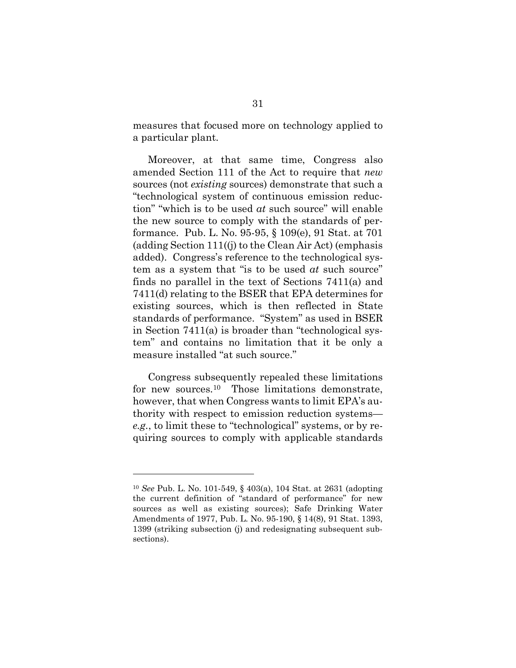measures that focused more on technology applied to a particular plant.

Moreover, at that same time, Congress also amended Section 111 of the Act to require that *new*  sources (not *existing* sources) demonstrate that such a "technological system of continuous emission reduction" "which is to be used *at* such source" will enable the new source to comply with the standards of performance. Pub. L. No. 95-95, § 109(e), 91 Stat. at 701 (adding Section 111((j) to the Clean Air Act) (emphasis added). Congress's reference to the technological system as a system that "is to be used *at* such source" finds no parallel in the text of Sections 7411(a) and 7411(d) relating to the BSER that EPA determines for existing sources, which is then reflected in State standards of performance. "System" as used in BSER in Section 7411(a) is broader than "technological system" and contains no limitation that it be only a measure installed "at such source."

Congress subsequently repealed these limitations for new sources.<sup>[10](#page-47-2)</sup> Those limitations demonstrate, however, that when Congress wants to limit EPA's authority with respect to emission reduction systems *e.g.*, to limit these to "technological" systems, or by requiring sources to comply with applicable standards

<span id="page-47-2"></span><span id="page-47-1"></span><span id="page-47-0"></span><sup>10</sup> *See* Pub. L. No. 101-549, § 403(a), 104 Stat. at 2631 (adopting the current definition of "standard of performance" for new sources as well as existing sources); Safe Drinking Water Amendments of 1977, Pub. L. No. 95-190, § 14(8), 91 Stat. 1393, 1399 (striking subsection (j) and redesignating subsequent subsections).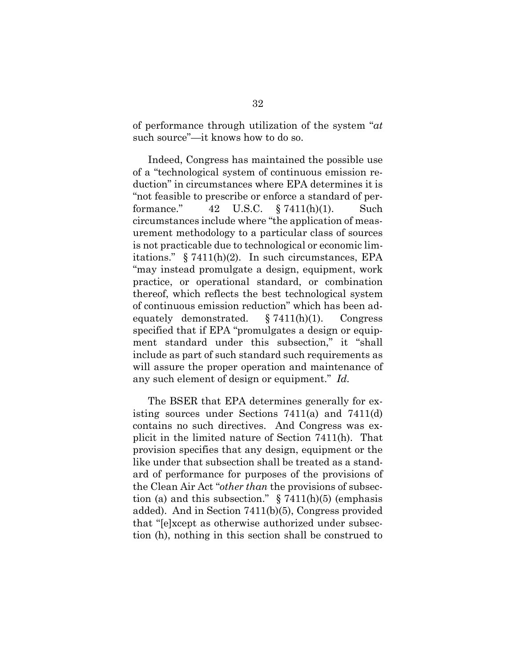of performance through utilization of the system "*at* such source"—it knows how to do so.

Indeed, Congress has maintained the possible use of a "technological system of continuous emission reduction" in circumstances where EPA determines it is "not feasible to prescribe or enforce a standard of performance." 42 U.S.C. § 7411(h)(1). Such circumstances include where "the application of measurement methodology to a particular class of sources is not practicable due to technological or economic limitations." § 7411(h)(2). In such circumstances, EPA "may instead promulgate a design, equipment, work practice, or operational standard, or combination thereof, which reflects the best technological system of continuous emission reduction" which has been adequately demonstrated. § 7411(h)(1). Congress specified that if EPA "promulgates a design or equipment standard under this subsection," it "shall include as part of such standard such requirements as will assure the proper operation and maintenance of any such element of design or equipment." *Id.* 

<span id="page-48-1"></span><span id="page-48-0"></span>The BSER that EPA determines generally for existing sources under Sections 7411(a) and 7411(d) contains no such directives. And Congress was explicit in the limited nature of Section 7411(h). That provision specifies that any design, equipment or the like under that subsection shall be treated as a standard of performance for purposes of the provisions of the Clean Air Act "*other than* the provisions of subsection (a) and this subsection."  $\S 7411(h)(5)$  (emphasis added). And in Section 7411(b)(5), Congress provided that "[e]xcept as otherwise authorized under subsection (h), nothing in this section shall be construed to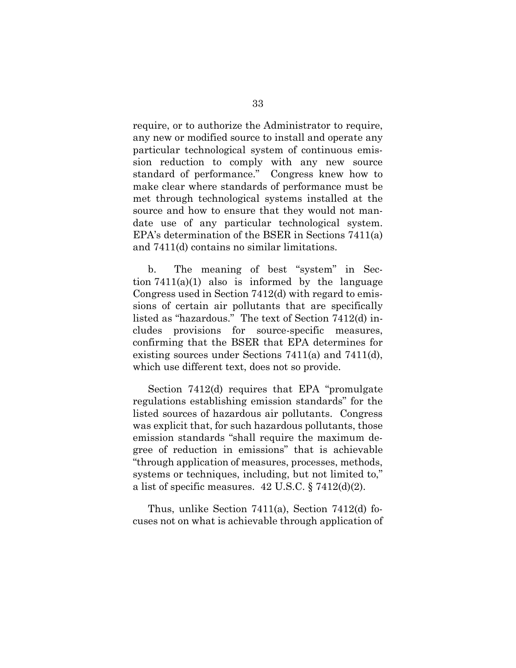require, or to authorize the Administrator to require, any new or modified source to install and operate any particular technological system of continuous emission reduction to comply with any new source standard of performance." Congress knew how to make clear where standards of performance must be met through technological systems installed at the source and how to ensure that they would not mandate use of any particular technological system. EPA's determination of the BSER in Sections 7411(a) and 7411(d) contains no similar limitations.

b. The meaning of best "system" in Section  $7411(a)(1)$  also is informed by the language Congress used in Section 7412(d) with regard to emissions of certain air pollutants that are specifically listed as "hazardous." The text of Section 7412(d) includes provisions for source-specific measures, confirming that the BSER that EPA determines for existing sources under Sections 7411(a) and 7411(d), which use different text, does not so provide.

Section 7412(d) requires that EPA "promulgate regulations establishing emission standards" for the listed sources of hazardous air pollutants. Congress was explicit that, for such hazardous pollutants, those emission standards "shall require the maximum degree of reduction in emissions" that is achievable "through application of measures, processes, methods, systems or techniques, including, but not limited to," a list of specific measures. 42 U.S.C. § 7412(d)(2).

Thus, unlike Section 7411(a), Section 7412(d) focuses not on what is achievable through application of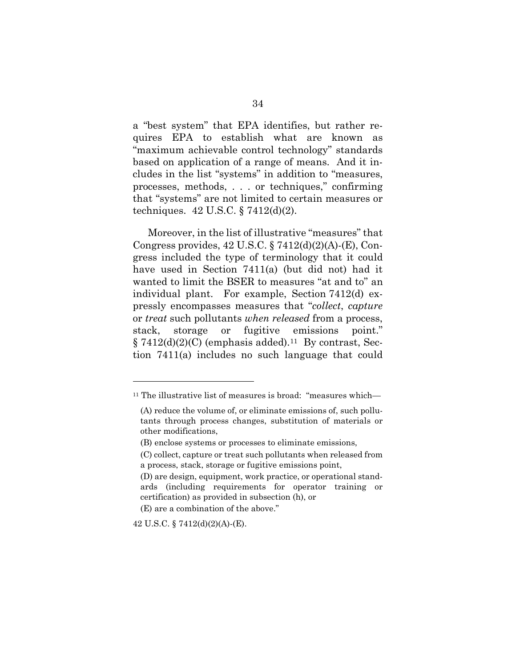a "best system" that EPA identifies, but rather requires EPA to establish what are known as "maximum achievable control technology" standards based on application of a range of means. And it includes in the list "systems" in addition to "measures, processes, methods, . . . or techniques," confirming that "systems" are not limited to certain measures or techniques. 42 U.S.C. § 7412(d)(2).

<span id="page-50-0"></span>Moreover, in the list of illustrative "measures" that Congress provides,  $42 \text{ U.S.C.}$   $\S 7412(d)(2)(A)$ -(E), Congress included the type of terminology that it could have used in Section 7411(a) (but did not) had it wanted to limit the BSER to measures "at and to" an individual plant. For example, Section 7412(d) expressly encompasses measures that "*collect*, *capture* or *treat* such pollutants *when released* from a process, stack, storage or fugitive emissions point."  $\S 7412(d)(2)(C)$  (emphasis added).<sup>[11](#page-50-2)</sup> By contrast, Section 7411(a) includes no such language that could

<span id="page-50-2"></span><sup>&</sup>lt;sup>11</sup> The illustrative list of measures is broad: "measures which-

<sup>(</sup>A) reduce the volume of, or eliminate emissions of, such pollutants through process changes, substitution of materials or other modifications,

<sup>(</sup>B) enclose systems or processes to eliminate emissions,

<sup>(</sup>C) collect, capture or treat such pollutants when released from a process, stack, storage or fugitive emissions point,

<sup>(</sup>D) are design, equipment, work practice, or operational standards (including requirements for operator training or certification) as provided in subsection (h), or

<sup>(</sup>E) are a combination of the above."

<span id="page-50-1"></span><sup>42</sup> U.S.C. § 7412(d)(2)(A)-(E).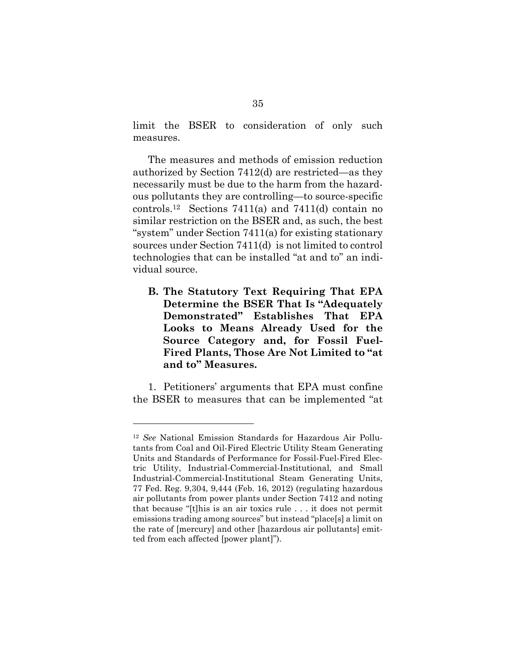limit the BSER to consideration of only such measures.

The measures and methods of emission reduction authorized by Section 7412(d) are restricted—as they necessarily must be due to the harm from the hazardous pollutants they are controlling—to source-specific controls.[12](#page-51-2) Sections 7411(a) and 7411(d) contain no similar restriction on the BSER and, as such, the best "system" under Section 7411(a) for existing stationary sources under Section 7411(d) is not limited to control technologies that can be installed "at and to" an individual source.

<span id="page-51-0"></span>**B. The Statutory Text Requiring That EPA Determine the BSER That Is "Adequately Demonstrated" Establishes That EPA Looks to Means Already Used for the Source Category and, for Fossil Fuel-Fired Plants, Those Are Not Limited to "at and to" Measures.** 

1. Petitioners' arguments that EPA must confine the BSER to measures that can be implemented "at

<span id="page-51-2"></span><span id="page-51-1"></span><sup>12</sup> *See* National Emission Standards for Hazardous Air Pollutants from Coal and Oil-Fired Electric Utility Steam Generating Units and Standards of Performance for Fossil-Fuel-Fired Electric Utility, Industrial-Commercial-Institutional, and Small Industrial-Commercial-Institutional Steam Generating Units, 77 Fed. Reg. 9,304, 9,444 (Feb. 16, 2012) (regulating hazardous air pollutants from power plants under Section 7412 and noting that because "[t]his is an air toxics rule . . . it does not permit emissions trading among sources" but instead "place[s] a limit on the rate of [mercury] and other [hazardous air pollutants] emitted from each affected [power plant]").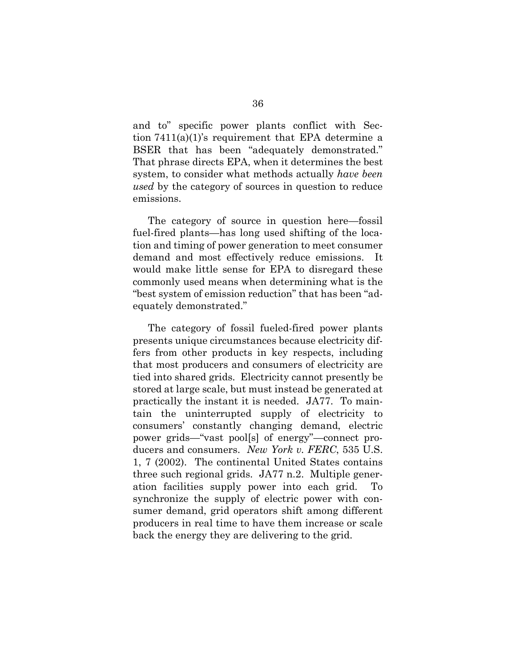and to" specific power plants conflict with Section 7411(a)(1)'s requirement that EPA determine a BSER that has been "adequately demonstrated." That phrase directs EPA, when it determines the best system, to consider what methods actually *have been used* by the category of sources in question to reduce emissions.

The category of source in question here—fossil fuel-fired plants—has long used shifting of the location and timing of power generation to meet consumer demand and most effectively reduce emissions. It would make little sense for EPA to disregard these commonly used means when determining what is the "best system of emission reduction" that has been "adequately demonstrated."

<span id="page-52-0"></span>The category of fossil fueled-fired power plants presents unique circumstances because electricity differs from other products in key respects, including that most producers and consumers of electricity are tied into shared grids. Electricity cannot presently be stored at large scale, but must instead be generated at practically the instant it is needed. JA77. To maintain the uninterrupted supply of electricity to consumers' constantly changing demand, electric power grids—"vast pool[s] of energy"—connect producers and consumers. *New York v. FERC*, 535 U.S. 1, 7 (2002). The continental United States contains three such regional grids. JA77 n.2. Multiple generation facilities supply power into each grid. To synchronize the supply of electric power with consumer demand, grid operators shift among different producers in real time to have them increase or scale back the energy they are delivering to the grid.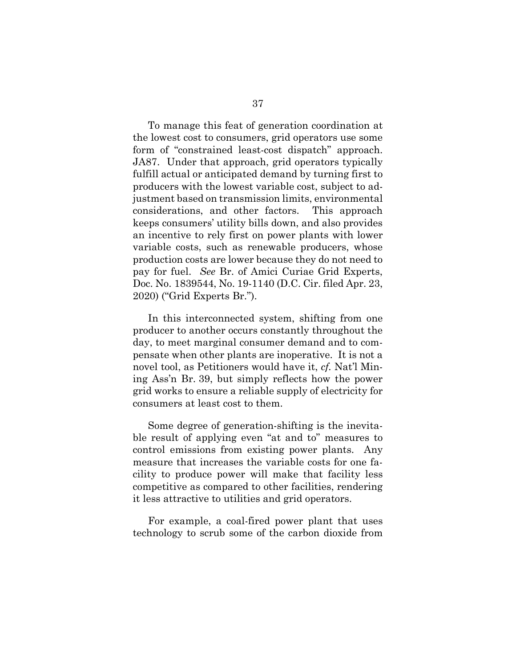To manage this feat of generation coordination at the lowest cost to consumers, grid operators use some form of "constrained least-cost dispatch" approach. JA87. Under that approach, grid operators typically fulfill actual or anticipated demand by turning first to producers with the lowest variable cost, subject to adjustment based on transmission limits, environmental considerations, and other factors. This approach keeps consumers' utility bills down, and also provides an incentive to rely first on power plants with lower variable costs, such as renewable producers, whose production costs are lower because they do not need to pay for fuel. *See* Br. of Amici Curiae Grid Experts, Doc. No. 1839544, No. 19-1140 (D.C. Cir. filed Apr. 23, 2020) ("Grid Experts Br.").

In this interconnected system, shifting from one producer to another occurs constantly throughout the day, to meet marginal consumer demand and to compensate when other plants are inoperative. It is not a novel tool, as Petitioners would have it, *cf.* Nat'l Mining Ass'n Br. 39, but simply reflects how the power grid works to ensure a reliable supply of electricity for consumers at least cost to them.

Some degree of generation-shifting is the inevitable result of applying even "at and to" measures to control emissions from existing power plants. Any measure that increases the variable costs for one facility to produce power will make that facility less competitive as compared to other facilities, rendering it less attractive to utilities and grid operators.

For example, a coal-fired power plant that uses technology to scrub some of the carbon dioxide from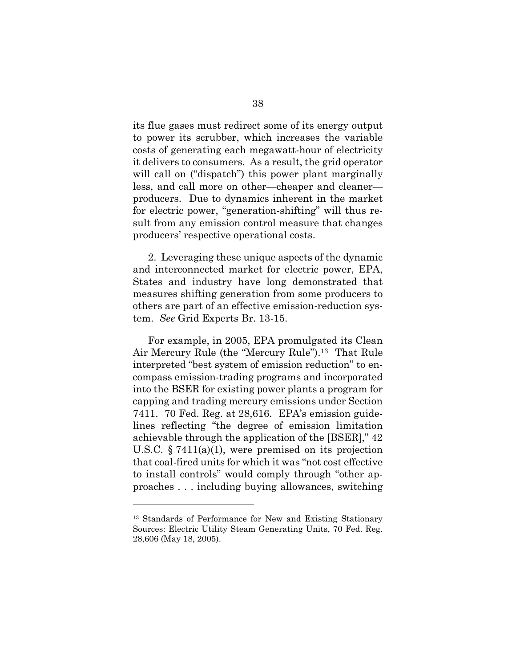its flue gases must redirect some of its energy output to power its scrubber, which increases the variable costs of generating each megawatt-hour of electricity it delivers to consumers. As a result, the grid operator will call on ("dispatch") this power plant marginally less, and call more on other—cheaper and cleaner producers. Due to dynamics inherent in the market for electric power, "generation-shifting" will thus result from any emission control measure that changes producers' respective operational costs.

2. Leveraging these unique aspects of the dynamic and interconnected market for electric power, EPA, States and industry have long demonstrated that measures shifting generation from some producers to others are part of an effective emission-reduction system. *See* Grid Experts Br. 13-15.

<span id="page-54-0"></span>For example, in 2005, EPA promulgated its Clean Air Mercury Rule (the "Mercury Rule").[13](#page-54-1) That Rule interpreted "best system of emission reduction" to encompass emission-trading programs and incorporated into the BSER for existing power plants a program for capping and trading mercury emissions under Section 7411. 70 Fed. Reg. at 28,616. EPA's emission guidelines reflecting "the degree of emission limitation achievable through the application of the [BSER]," 42 U.S.C. § 7411(a)(1), were premised on its projection that coal-fired units for which it was "not cost effective to install controls" would comply through "other approaches . . . including buying allowances, switching

<span id="page-54-1"></span><sup>13</sup> Standards of Performance for New and Existing Stationary Sources: Electric Utility Steam Generating Units, 70 Fed. Reg. 28,606 (May 18, 2005).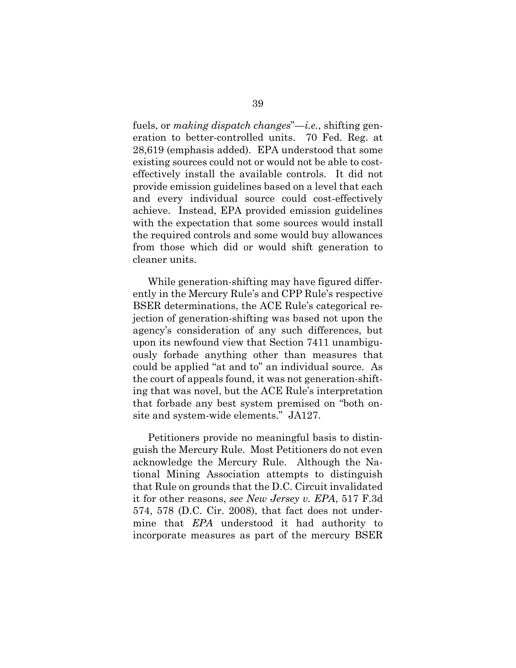fuels, or *making dispatch changes*"—*i.e.*, shifting generation to better-controlled units. 70 Fed. Reg. at 28,619 (emphasis added). EPA understood that some existing sources could not or would not be able to costeffectively install the available controls. It did not provide emission guidelines based on a level that each and every individual source could cost-effectively achieve. Instead, EPA provided emission guidelines with the expectation that some sources would install the required controls and some would buy allowances from those which did or would shift generation to cleaner units.

While generation-shifting may have figured differently in the Mercury Rule's and CPP Rule's respective BSER determinations, the ACE Rule's categorical rejection of generation-shifting was based not upon the agency's consideration of any such differences, but upon its newfound view that Section 7411 unambiguously forbade anything other than measures that could be applied "at and to" an individual source. As the court of appeals found, it was not generation-shifting that was novel, but the ACE Rule's interpretation that forbade any best system premised on "both onsite and system-wide elements." JA127.

<span id="page-55-0"></span>Petitioners provide no meaningful basis to distinguish the Mercury Rule. Most Petitioners do not even acknowledge the Mercury Rule. Although the National Mining Association attempts to distinguish that Rule on grounds that the D.C. Circuit invalidated it for other reasons, *see New Jersey v. EPA*, 517 F.3d 574, 578 (D.C. Cir. 2008), that fact does not undermine that *EPA* understood it had authority to incorporate measures as part of the mercury BSER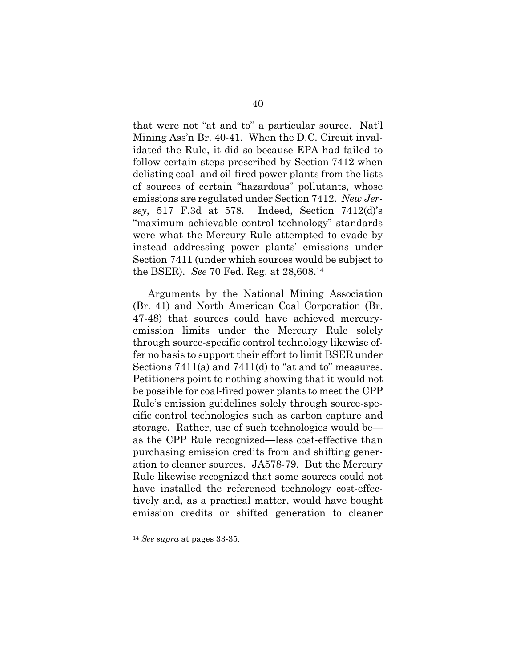that were not "at and to" a particular source. Nat'l Mining Ass'n Br. 40-41. When the D.C. Circuit invalidated the Rule, it did so because EPA had failed to follow certain steps prescribed by Section 7412 when delisting coal- and oil-fired power plants from the lists of sources of certain "hazardous" pollutants, whose emissions are regulated under Section 7412. *New Jersey*, 517 F.3d at 578. Indeed, Section 7412(d)'s "maximum achievable control technology" standards were what the Mercury Rule attempted to evade by instead addressing power plants' emissions under Section 7411 (under which sources would be subject to the BSER). *See* 70 Fed. Reg. at 28,608.[14](#page-56-1)

<span id="page-56-0"></span>Arguments by the National Mining Association (Br. 41) and North American Coal Corporation (Br. 47-48) that sources could have achieved mercuryemission limits under the Mercury Rule solely through source-specific control technology likewise offer no basis to support their effort to limit BSER under Sections 7411(a) and 7411(d) to "at and to" measures. Petitioners point to nothing showing that it would not be possible for coal-fired power plants to meet the CPP Rule's emission guidelines solely through source-specific control technologies such as carbon capture and storage. Rather, use of such technologies would be as the CPP Rule recognized—less cost-effective than purchasing emission credits from and shifting generation to cleaner sources. JA578-79. But the Mercury Rule likewise recognized that some sources could not have installed the referenced technology cost-effectively and, as a practical matter, would have bought emission credits or shifted generation to cleaner

<span id="page-56-1"></span><sup>14</sup> *See supra* at pages 33-35.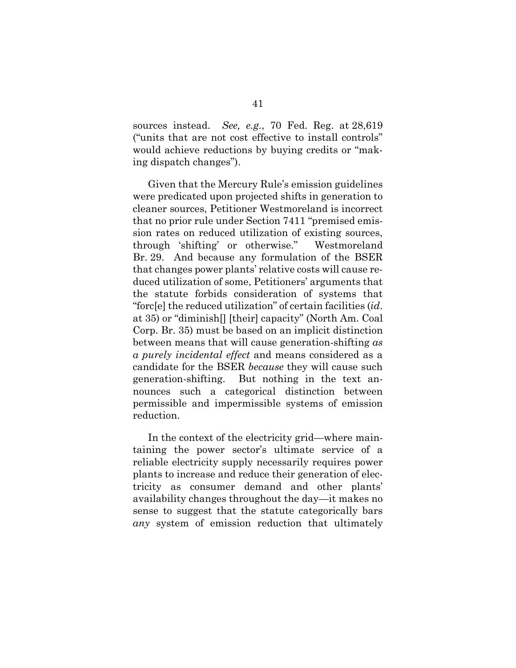<span id="page-57-0"></span>sources instead. *See, e.g.*, 70 Fed. Reg. at 28,619 ("units that are not cost effective to install controls" would achieve reductions by buying credits or "making dispatch changes").

Given that the Mercury Rule's emission guidelines were predicated upon projected shifts in generation to cleaner sources, Petitioner Westmoreland is incorrect that no prior rule under Section 7411 "premised emission rates on reduced utilization of existing sources, through 'shifting' or otherwise." Westmoreland Br. 29. And because any formulation of the BSER that changes power plants' relative costs will cause reduced utilization of some, Petitioners' arguments that the statute forbids consideration of systems that "forc[e] the reduced utilization" of certain facilities (*id*. at 35) or "diminish[] [their] capacity" (North Am. Coal Corp. Br. 35) must be based on an implicit distinction between means that will cause generation-shifting *as a purely incidental effect* and means considered as a candidate for the BSER *because* they will cause such generation-shifting. But nothing in the text announces such a categorical distinction between permissible and impermissible systems of emission reduction.

In the context of the electricity grid—where maintaining the power sector's ultimate service of a reliable electricity supply necessarily requires power plants to increase and reduce their generation of electricity as consumer demand and other plants' availability changes throughout the day—it makes no sense to suggest that the statute categorically bars *any* system of emission reduction that ultimately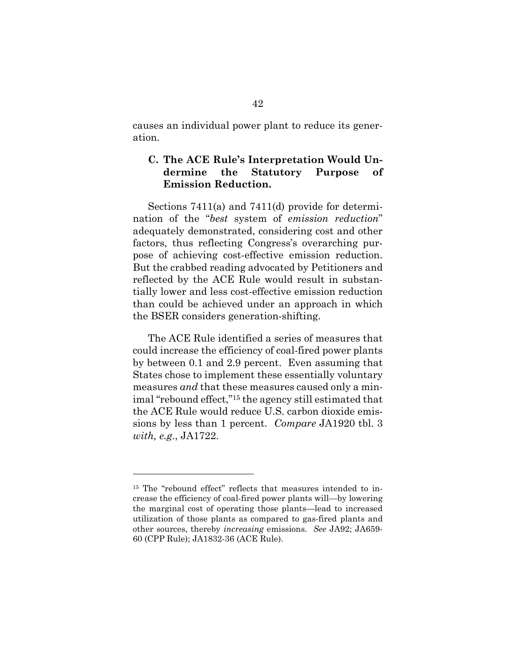causes an individual power plant to reduce its generation.

# <span id="page-58-0"></span>**C. The ACE Rule's Interpretation Would Undermine the Statutory Purpose of Emission Reduction.**

Sections 7411(a) and 7411(d) provide for determination of the "*best* system of *emission reduction*" adequately demonstrated, considering cost and other factors, thus reflecting Congress's overarching purpose of achieving cost-effective emission reduction. But the crabbed reading advocated by Petitioners and reflected by the ACE Rule would result in substantially lower and less cost-effective emission reduction than could be achieved under an approach in which the BSER considers generation-shifting.

The ACE Rule identified a series of measures that could increase the efficiency of coal-fired power plants by between 0.1 and 2.9 percent. Even assuming that States chose to implement these essentially voluntary measures *and* that these measures caused only a minimal "rebound effect,"[15](#page-58-1) the agency still estimated that the ACE Rule would reduce U.S. carbon dioxide emissions by less than 1 percent. *Compare* JA1920 tbl. 3 *with, e.g.*, JA1722.

<span id="page-58-1"></span><sup>15</sup> The "rebound effect" reflects that measures intended to increase the efficiency of coal-fired power plants will—by lowering the marginal cost of operating those plants—lead to increased utilization of those plants as compared to gas-fired plants and other sources, thereby *increasing* emissions. *See* JA92; JA659- 60 (CPP Rule); JA1832-36 (ACE Rule).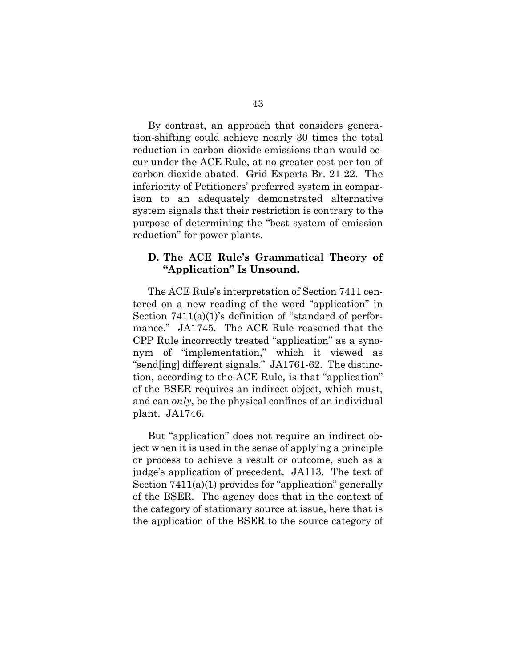By contrast, an approach that considers generation-shifting could achieve nearly 30 times the total reduction in carbon dioxide emissions than would occur under the ACE Rule, at no greater cost per ton of carbon dioxide abated. Grid Experts Br. 21-22. The inferiority of Petitioners' preferred system in comparison to an adequately demonstrated alternative system signals that their restriction is contrary to the purpose of determining the "best system of emission reduction" for power plants.

### <span id="page-59-0"></span>**D. The ACE Rule's Grammatical Theory of "Application" Is Unsound.**

The ACE Rule's interpretation of Section 7411 centered on a new reading of the word "application" in Section 7411(a)(1)'s definition of "standard of performance." JA1745. The ACE Rule reasoned that the CPP Rule incorrectly treated "application" as a synonym of "implementation," which it viewed as "send[ing] different signals." JA1761-62. The distinction, according to the ACE Rule, is that "application" of the BSER requires an indirect object, which must, and can *only*, be the physical confines of an individual plant. JA1746.

But "application" does not require an indirect object when it is used in the sense of applying a principle or process to achieve a result or outcome, such as a judge's application of precedent. JA113. The text of Section 7411(a)(1) provides for "application" generally of the BSER. The agency does that in the context of the category of stationary source at issue, here that is the application of the BSER to the source category of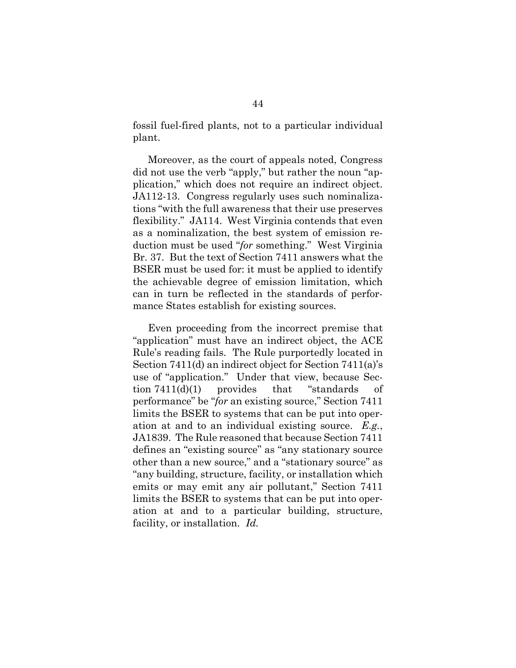fossil fuel-fired plants, not to a particular individual plant.

Moreover, as the court of appeals noted, Congress did not use the verb "apply," but rather the noun "application," which does not require an indirect object. JA112-13. Congress regularly uses such nominalizations "with the full awareness that their use preserves flexibility." JA114. West Virginia contends that even as a nominalization, the best system of emission reduction must be used "*for* something." West Virginia Br. 37. But the text of Section 7411 answers what the BSER must be used for: it must be applied to identify the achievable degree of emission limitation, which can in turn be reflected in the standards of performance States establish for existing sources.

Even proceeding from the incorrect premise that "application" must have an indirect object, the ACE Rule's reading fails. The Rule purportedly located in Section 7411(d) an indirect object for Section 7411(a)'s use of "application." Under that view, because Section 7411(d)(1) provides that "standards of performance" be "*for* an existing source," Section 7411 limits the BSER to systems that can be put into operation at and to an individual existing source. *E.g.*, JA1839. The Rule reasoned that because Section 7411 defines an "existing source" as "any stationary source other than a new source," and a "stationary source" as "any building, structure, facility, or installation which emits or may emit any air pollutant," Section 7411 limits the BSER to systems that can be put into operation at and to a particular building, structure, facility, or installation. *Id.*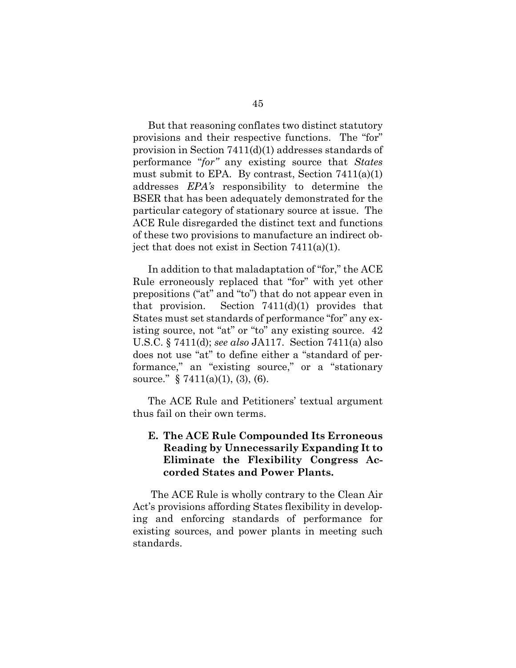But that reasoning conflates two distinct statutory provisions and their respective functions. The "for" provision in Section 7411(d)(1) addresses standards of performance "*for"* any existing source that *States* must submit to EPA. By contrast, Section  $7411(a)(1)$ addresses *EPA's* responsibility to determine the BSER that has been adequately demonstrated for the particular category of stationary source at issue. The ACE Rule disregarded the distinct text and functions of these two provisions to manufacture an indirect object that does not exist in Section 7411(a)(1).

In addition to that maladaptation of "for," the ACE Rule erroneously replaced that "for" with yet other prepositions ("at" and "to") that do not appear even in that provision. Section  $7411(d)(1)$  provides that States must set standards of performance "for" any existing source, not "at" or "to" any existing source. 42 U.S.C. § 7411(d); *see also* JA117. Section 7411(a) also does not use "at" to define either a "standard of performance," an "existing source," or a "stationary source." § 7411(a)(1), (3), (6).

The ACE Rule and Petitioners' textual argument thus fail on their own terms.

# <span id="page-61-0"></span>**E. The ACE Rule Compounded Its Erroneous Reading by Unnecessarily Expanding It to Eliminate the Flexibility Congress Accorded States and Power Plants.**

 The ACE Rule is wholly contrary to the Clean Air Act's provisions affording States flexibility in developing and enforcing standards of performance for existing sources, and power plants in meeting such standards.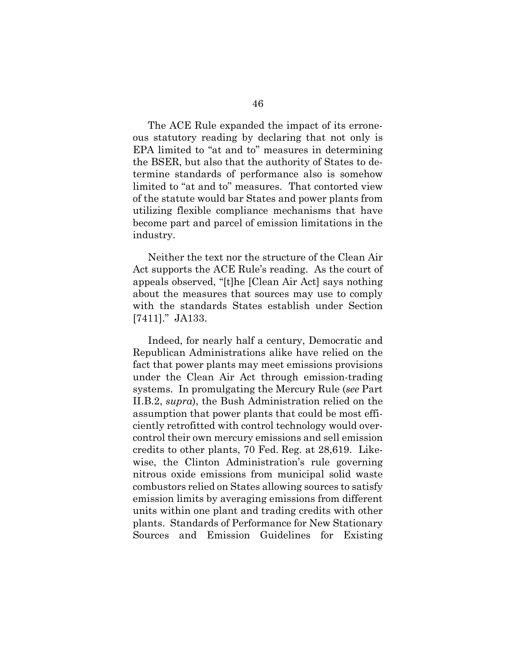The ACE Rule expanded the impact of its erroneous statutory reading by declaring that not only is EPA limited to "at and to" measures in determining the BSER, but also that the authority of States to determine standards of performance also is somehow limited to "at and to" measures. That contorted view of the statute would bar States and power plants from utilizing flexible compliance mechanisms that have become part and parcel of emission limitations in the industry.

Neither the text nor the structure of the Clean Air Act supports the ACE Rule's reading. As the court of appeals observed, "[t]he [Clean Air Act] says nothing about the measures that sources may use to comply with the standards States establish under Section [7411]." JA133.

<span id="page-62-0"></span>Indeed, for nearly half a century, Democratic and Republican Administrations alike have relied on the fact that power plants may meet emissions provisions under the Clean Air Act through emission-trading systems. In promulgating the Mercury Rule (*see* Part II.B.2, *supra*), the Bush Administration relied on the assumption that power plants that could be most efficiently retrofitted with control technology would overcontrol their own mercury emissions and sell emission credits to other plants, 70 Fed. Reg. at 28,619. Likewise, the Clinton Administration's rule governing nitrous oxide emissions from municipal solid waste combustors relied on States allowing sources to satisfy emission limits by averaging emissions from different units within one plant and trading credits with other plants. Standards of Performance for New Stationary Sources and Emission Guidelines for Existing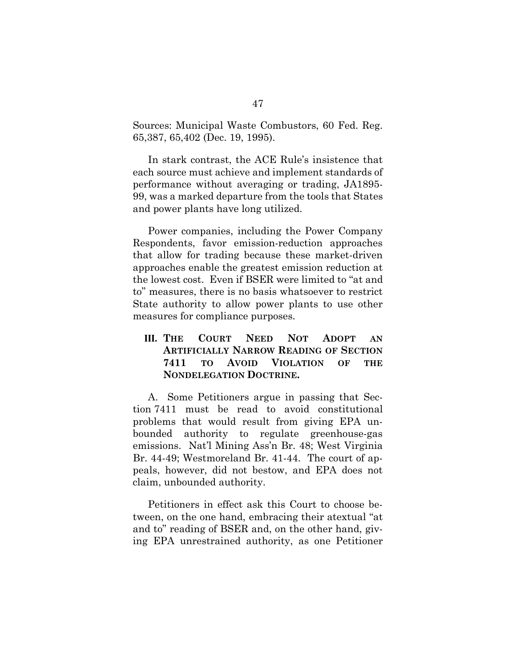Sources: Municipal Waste Combustors, 60 Fed. Reg. 65,387, 65,402 (Dec. 19, 1995).

In stark contrast, the ACE Rule's insistence that each source must achieve and implement standards of performance without averaging or trading, JA1895- 99, was a marked departure from the tools that States and power plants have long utilized.

Power companies, including the Power Company Respondents, favor emission-reduction approaches that allow for trading because these market-driven approaches enable the greatest emission reduction at the lowest cost. Even if BSER were limited to "at and to" measures, there is no basis whatsoever to restrict State authority to allow power plants to use other measures for compliance purposes.

# <span id="page-63-0"></span>**III. THE COURT NEED NOT ADOPT AN ARTIFICIALLY NARROW READING OF SECTION 7411 TO AVOID VIOLATION OF THE NONDELEGATION DOCTRINE.**

A. Some Petitioners argue in passing that Section 7411 must be read to avoid constitutional problems that would result from giving EPA unbounded authority to regulate greenhouse-gas emissions. Nat'l Mining Ass'n Br. 48; West Virginia Br. 44-49; Westmoreland Br. 41-44. The court of appeals, however, did not bestow, and EPA does not claim, unbounded authority.

Petitioners in effect ask this Court to choose between, on the one hand, embracing their atextual "at and to" reading of BSER and, on the other hand, giving EPA unrestrained authority, as one Petitioner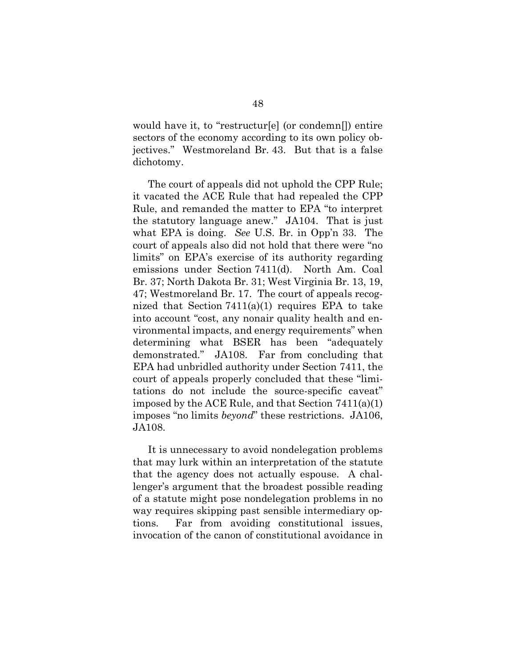would have it, to "restructur[e] (or condemn[]) entire sectors of the economy according to its own policy objectives." Westmoreland Br. 43. But that is a false dichotomy.

The court of appeals did not uphold the CPP Rule; it vacated the ACE Rule that had repealed the CPP Rule, and remanded the matter to EPA "to interpret the statutory language anew." JA104. That is just what EPA is doing. *See* U.S. Br. in Opp'n 33. The court of appeals also did not hold that there were "no limits" on EPA's exercise of its authority regarding emissions under Section 7411(d). North Am. Coal Br. 37; North Dakota Br. 31; West Virginia Br. 13, 19, 47; Westmoreland Br. 17. The court of appeals recognized that Section  $7411(a)(1)$  requires EPA to take into account "cost, any nonair quality health and environmental impacts, and energy requirements" when determining what BSER has been "adequately demonstrated." JA108. Far from concluding that EPA had unbridled authority under Section 7411, the court of appeals properly concluded that these "limitations do not include the source-specific caveat" imposed by the ACE Rule, and that Section 7411(a)(1) imposes "no limits *beyond*" these restrictions. JA106, JA108.

It is unnecessary to avoid nondelegation problems that may lurk within an interpretation of the statute that the agency does not actually espouse. A challenger's argument that the broadest possible reading of a statute might pose nondelegation problems in no way requires skipping past sensible intermediary options. Far from avoiding constitutional issues, invocation of the canon of constitutional avoidance in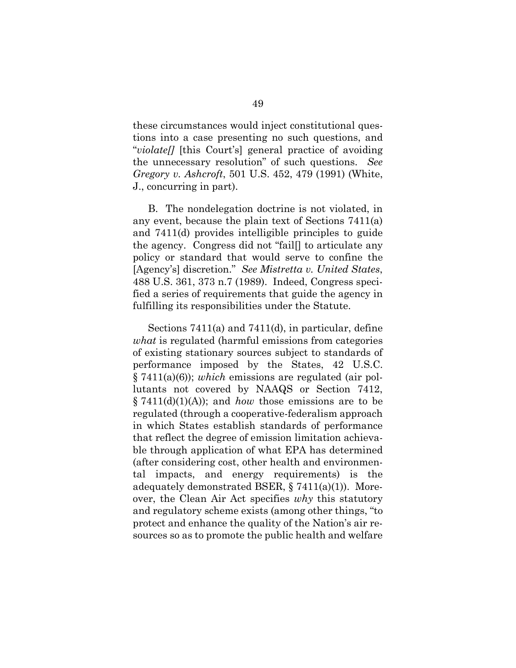<span id="page-65-0"></span>these circumstances would inject constitutional questions into a case presenting no such questions, and "*violate[]* [this Court's] general practice of avoiding the unnecessary resolution" of such questions. *See Gregory v. Ashcroft*, 501 U.S. 452, 479 (1991) (White, J., concurring in part).

<span id="page-65-1"></span>B. The nondelegation doctrine is not violated, in any event, because the plain text of Sections 7411(a) and 7411(d) provides intelligible principles to guide the agency. Congress did not "fail[] to articulate any policy or standard that would serve to confine the [Agency's] discretion." *See Mistretta v. United States*, 488 U.S. 361, 373 n.7 (1989). Indeed, Congress specified a series of requirements that guide the agency in fulfilling its responsibilities under the Statute.

<span id="page-65-2"></span>Sections 7411(a) and 7411(d), in particular, define *what* is regulated (harmful emissions from categories of existing stationary sources subject to standards of performance imposed by the States, 42 U.S.C. § 7411(a)(6)); *which* emissions are regulated (air pollutants not covered by NAAQS or Section 7412, § 7411(d)(1)(A)); and *how* those emissions are to be regulated (through a cooperative-federalism approach in which States establish standards of performance that reflect the degree of emission limitation achievable through application of what EPA has determined (after considering cost, other health and environmental impacts, and energy requirements) is the adequately demonstrated BSER, § 7411(a)(1)). Moreover, the Clean Air Act specifies *why* this statutory and regulatory scheme exists (among other things, "to protect and enhance the quality of the Nation's air resources so as to promote the public health and welfare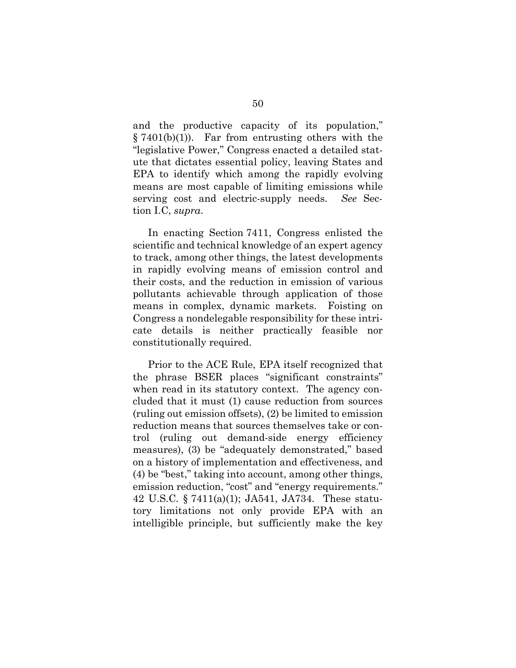and the productive capacity of its population,"  $§ 7401(b)(1)$ . Far from entrusting others with the "legislative Power," Congress enacted a detailed statute that dictates essential policy, leaving States and EPA to identify which among the rapidly evolving means are most capable of limiting emissions while serving cost and electric-supply needs. *See* Section I.C, *supra*.

In enacting Section 7411, Congress enlisted the scientific and technical knowledge of an expert agency to track, among other things, the latest developments in rapidly evolving means of emission control and their costs, and the reduction in emission of various pollutants achievable through application of those means in complex, dynamic markets. Foisting on Congress a nondelegable responsibility for these intricate details is neither practically feasible nor constitutionally required.

Prior to the ACE Rule, EPA itself recognized that the phrase BSER places "significant constraints" when read in its statutory context. The agency concluded that it must (1) cause reduction from sources (ruling out emission offsets), (2) be limited to emission reduction means that sources themselves take or control (ruling out demand-side energy efficiency measures), (3) be "adequately demonstrated," based on a history of implementation and effectiveness, and (4) be "best," taking into account, among other things, emission reduction, "cost" and "energy requirements." 42 U.S.C. § 7411(a)(1); JA541, JA734. These statutory limitations not only provide EPA with an intelligible principle, but sufficiently make the key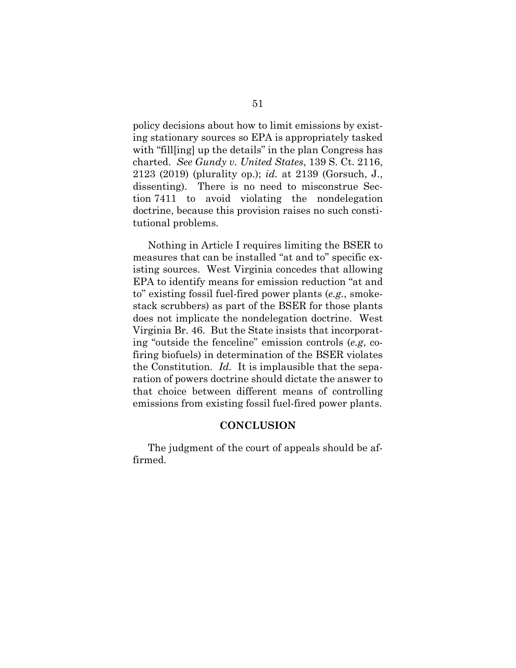<span id="page-67-1"></span>policy decisions about how to limit emissions by existing stationary sources so EPA is appropriately tasked with "fill[ing] up the details" in the plan Congress has charted. *See Gundy v. United States*, 139 S. Ct. 2116, 2123 (2019) (plurality op.); *id.* at 2139 (Gorsuch, J., dissenting). There is no need to misconstrue Section 7411 to avoid violating the nondelegation doctrine, because this provision raises no such constitutional problems.

Nothing in Article I requires limiting the BSER to measures that can be installed "at and to" specific existing sources. West Virginia concedes that allowing EPA to identify means for emission reduction "at and to" existing fossil fuel-fired power plants (*e.g.*, smokestack scrubbers) as part of the BSER for those plants does not implicate the nondelegation doctrine. West Virginia Br. 46. But the State insists that incorporating "outside the fenceline" emission controls (*e.g*, cofiring biofuels) in determination of the BSER violates the Constitution. *Id.* It is implausible that the separation of powers doctrine should dictate the answer to that choice between different means of controlling emissions from existing fossil fuel-fired power plants.

#### **CONCLUSION**

<span id="page-67-0"></span>The judgment of the court of appeals should be affirmed.